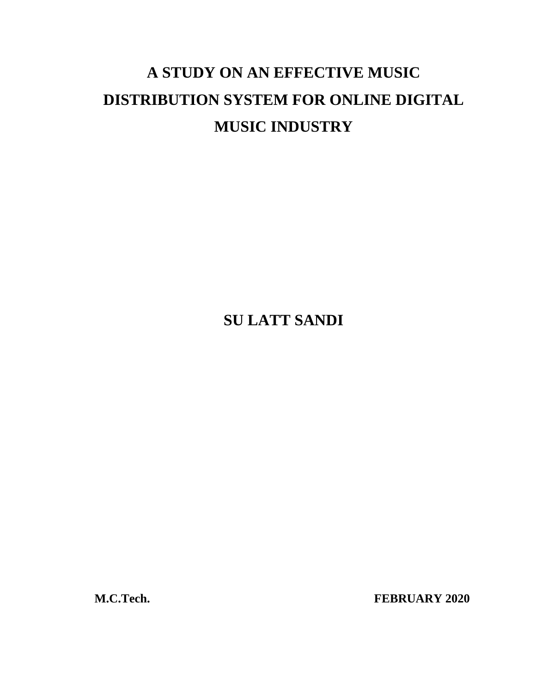# **A STUDY ON AN EFFECTIVE MUSIC DISTRIBUTION SYSTEM FOR ONLINE DIGITAL MUSIC INDUSTRY**

**SU LATT SANDI**

**M.C.Tech. FEBRUARY 2020**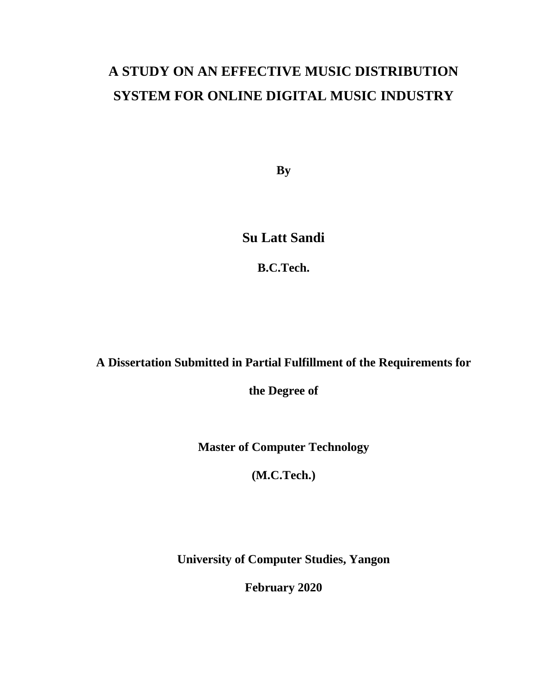# **A STUDY ON AN EFFECTIVE MUSIC DISTRIBUTION SYSTEM FOR ONLINE DIGITAL MUSIC INDUSTRY**

**By**

**Su Latt Sandi**

**B.C.Tech.**

## **A Dissertation Submitted in Partial Fulfillment of the Requirements for**

**the Degree of**

**Master of Computer Technology**

**(M.C.Tech.)**

**University of Computer Studies, Yangon**

**February 2020**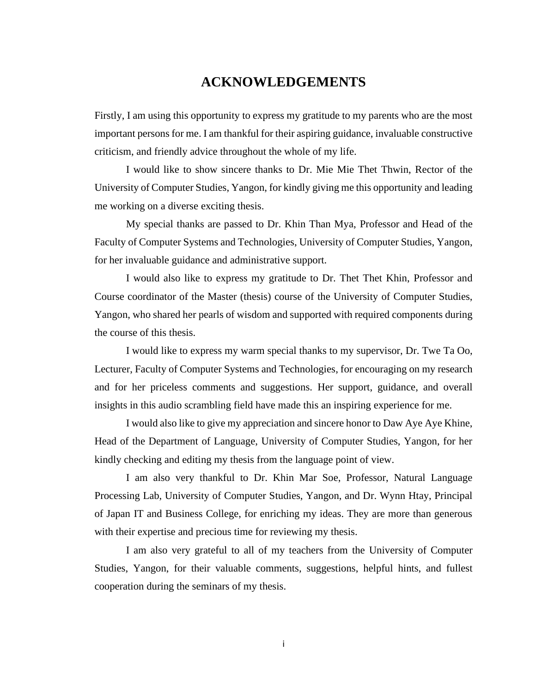## **ACKNOWLEDGEMENTS**

<span id="page-2-0"></span>Firstly, I am using this opportunity to express my gratitude to my parents who are the most important persons for me. I am thankful for their aspiring guidance, invaluable constructive criticism, and friendly advice throughout the whole of my life.

I would like to show sincere thanks to Dr. Mie Mie Thet Thwin, Rector of the University of Computer Studies, Yangon, for kindly giving me this opportunity and leading me working on a diverse exciting thesis.

My special thanks are passed to Dr. Khin Than Mya, Professor and Head of the Faculty of Computer Systems and Technologies, University of Computer Studies, Yangon, for her invaluable guidance and administrative support.

I would also like to express my gratitude to Dr. Thet Thet Khin, Professor and Course coordinator of the Master (thesis) course of the University of Computer Studies, Yangon, who shared her pearls of wisdom and supported with required components during the course of this thesis.

I would like to express my warm special thanks to my supervisor, Dr. Twe Ta Oo, Lecturer, Faculty of Computer Systems and Technologies, for encouraging on my research and for her priceless comments and suggestions. Her support, guidance, and overall insights in this audio scrambling field have made this an inspiring experience for me.

I would also like to give my appreciation and sincere honor to Daw Aye Aye Khine, Head of the Department of Language, University of Computer Studies, Yangon, for her kindly checking and editing my thesis from the language point of view.

I am also very thankful to Dr. Khin Mar Soe, Professor, Natural Language Processing Lab, University of Computer Studies, Yangon, and Dr. Wynn Htay, Principal of Japan IT and Business College, for enriching my ideas. They are more than generous with their expertise and precious time for reviewing my thesis.

I am also very grateful to all of my teachers from the University of Computer Studies, Yangon, for their valuable comments, suggestions, helpful hints, and fullest cooperation during the seminars of my thesis.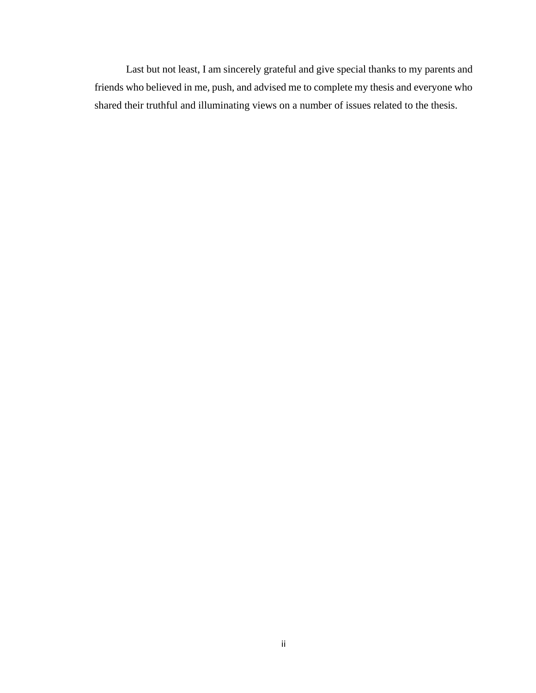Last but not least, I am sincerely grateful and give special thanks to my parents and friends who believed in me, push, and advised me to complete my thesis and everyone who shared their truthful and illuminating views on a number of issues related to the thesis.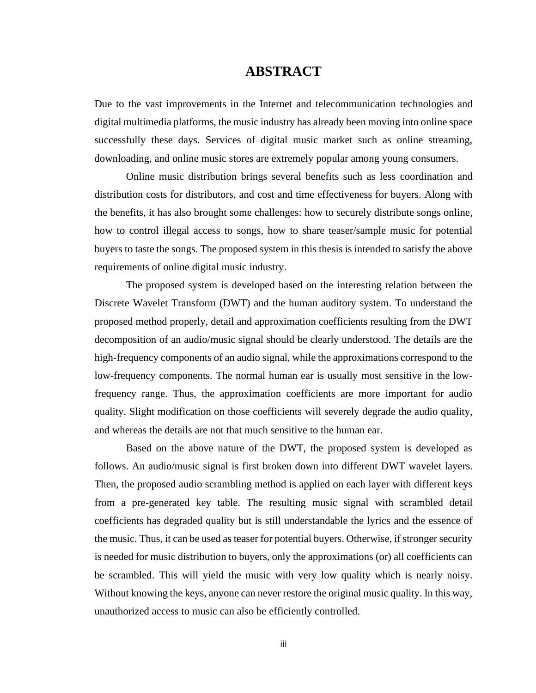### **ABSTRACT**

<span id="page-4-0"></span>Due to the vast improvements in the Internet and telecommunication technologies and digital multimedia platforms, the music industry has already been moving into online space successfully these days. Services of digital music market such as online streaming, downloading, and online music stores are extremely popular among young consumers.

Online music distribution brings several benefits such as less coordination and distribution costs for distributors, and cost and time effectiveness for buyers. Along with the benefits, it has also brought some challenges: how to securely distribute songs online, how to control illegal access to songs, how to share teaser/sample music for potential buyers to taste the songs. The proposed system in this thesis is intended to satisfy the above requirements of online digital music industry.

The proposed system is developed based on the interesting relation between the Discrete Wavelet Transform (DWT) and the human auditory system. To understand the proposed method properly, detail and approximation coefficients resulting from the DWT decomposition of an audio/music signal should be clearly understood. The details are the high-frequency components of an audio signal, while the approximations correspond to the low-frequency components. The normal human ear is usually most sensitive in the lowfrequency range. Thus, the approximation coefficients are more important for audio quality. Slight modification on those coefficients will severely degrade the audio quality, and whereas the details are not that much sensitive to the human ear.

Based on the above nature of the DWT, the proposed system is developed as follows. An audio/music signal is first broken down into different DWT wavelet layers. Then, the proposed audio scrambling method is applied on each layer with different keys from a pre-generated key table. The resulting music signal with scrambled detail coefficients has degraded quality but is still understandable the lyrics and the essence of the music. Thus, it can be used as teaser for potential buyers. Otherwise, if stronger security is needed for music distribution to buyers, only the approximations (or) all coefficients can be scrambled. This will yield the music with very low quality which is nearly noisy. Without knowing the keys, anyone can never restore the original music quality. In this way, unauthorized access to music can also be efficiently controlled.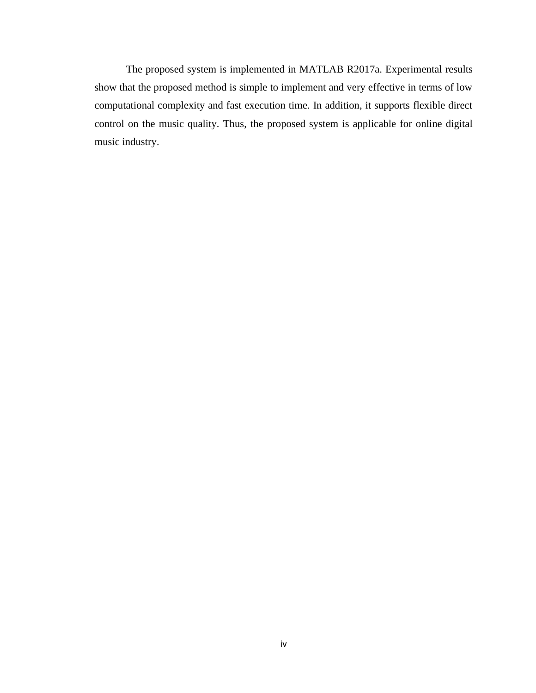The proposed system is implemented in MATLAB R2017a. Experimental results show that the proposed method is simple to implement and very effective in terms of low computational complexity and fast execution time. In addition, it supports flexible direct control on the music quality. Thus, the proposed system is applicable for online digital music industry.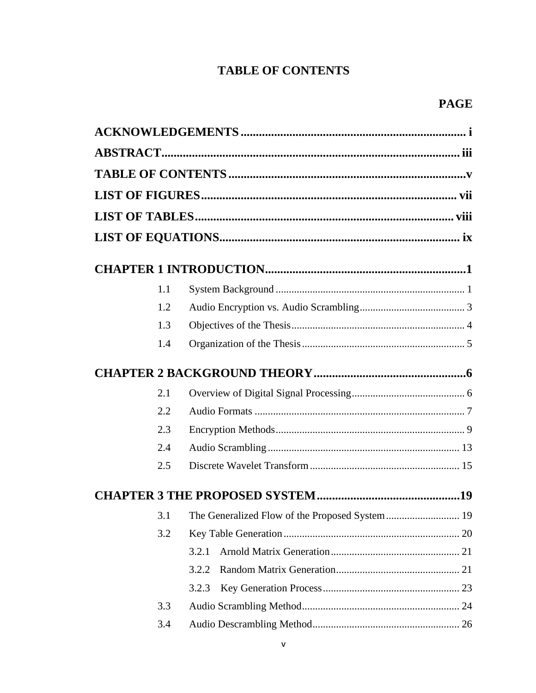## **TABLE OF CONTENTS**

<span id="page-6-0"></span>

| 1.1 |       |  |
|-----|-------|--|
| 1.2 |       |  |
| 1.3 |       |  |
| 1.4 |       |  |
|     |       |  |
| 2.1 |       |  |
| 2.2 |       |  |
| 2.3 |       |  |
| 2.4 |       |  |
| 2.5 |       |  |
|     |       |  |
|     |       |  |
| 3.2 |       |  |
|     | 3.2.1 |  |
|     | 3.2.2 |  |
|     | 3.2.3 |  |
| 3.3 |       |  |
| 3.4 |       |  |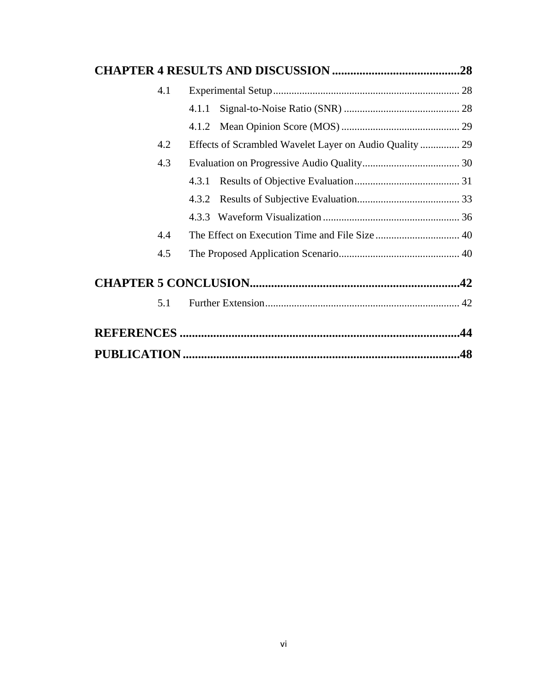| 4.1 |                                                         |     |
|-----|---------------------------------------------------------|-----|
|     |                                                         |     |
|     |                                                         |     |
| 4.2 | Effects of Scrambled Wavelet Layer on Audio Quality  29 |     |
| 4.3 |                                                         |     |
|     |                                                         |     |
|     |                                                         |     |
|     |                                                         |     |
| 4.4 |                                                         |     |
| 4.5 |                                                         |     |
|     |                                                         |     |
| 5.1 |                                                         |     |
|     |                                                         |     |
|     |                                                         | .48 |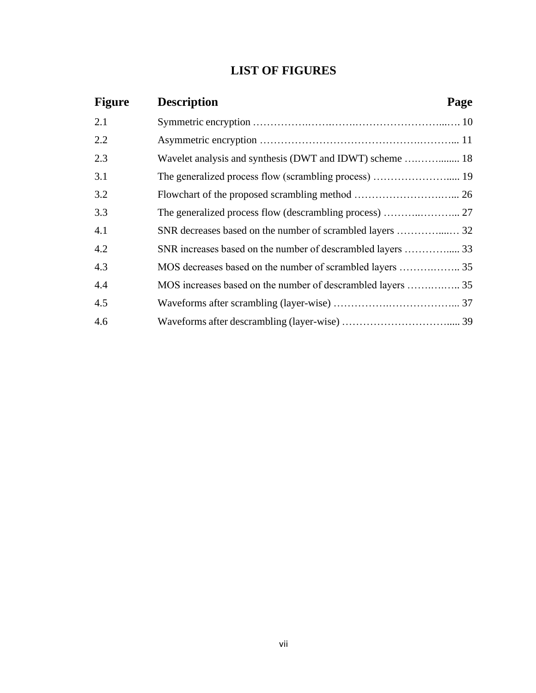## **LIST OF FIGURES**

<span id="page-8-0"></span>

| <b>Figure</b> | <b>Description</b>                                          | Page |
|---------------|-------------------------------------------------------------|------|
| 2.1           |                                                             |      |
| 2.2           |                                                             |      |
| 2.3           |                                                             |      |
| 3.1           |                                                             |      |
| 3.2           |                                                             |      |
| 3.3           |                                                             |      |
| 4.1           |                                                             |      |
| 4.2           |                                                             |      |
| 4.3           |                                                             |      |
| 4.4           | MOS increases based on the number of descrambled layers  35 |      |
| 4.5           |                                                             |      |
| 4.6           |                                                             |      |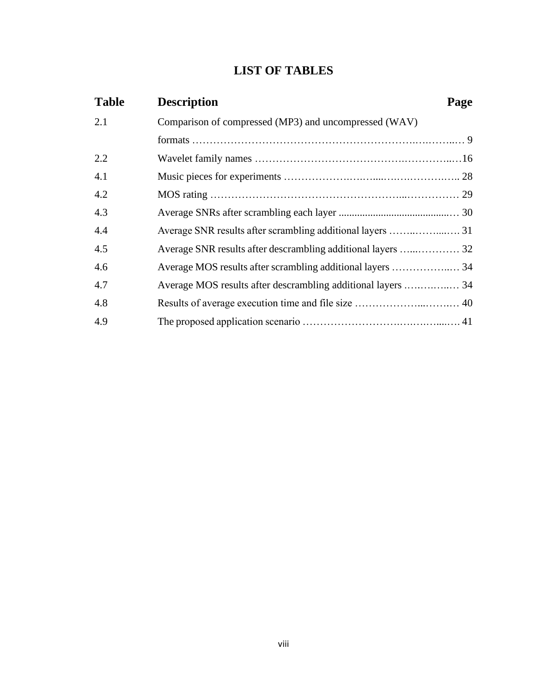## **LIST OF TABLES**

<span id="page-9-0"></span>

| <b>Table</b> | <b>Description</b>                                           | Page |
|--------------|--------------------------------------------------------------|------|
| 2.1          | Comparison of compressed (MP3) and uncompressed (WAV)        |      |
|              |                                                              |      |
| 2.2          |                                                              |      |
| 4.1          |                                                              |      |
| 4.2          |                                                              |      |
| 4.3          |                                                              |      |
| 4.4          |                                                              |      |
| 4.5          |                                                              |      |
| 4.6          |                                                              |      |
| 4.7          | Average MOS results after descrambling additional layers  34 |      |
| 4.8          |                                                              |      |
| 4.9          |                                                              |      |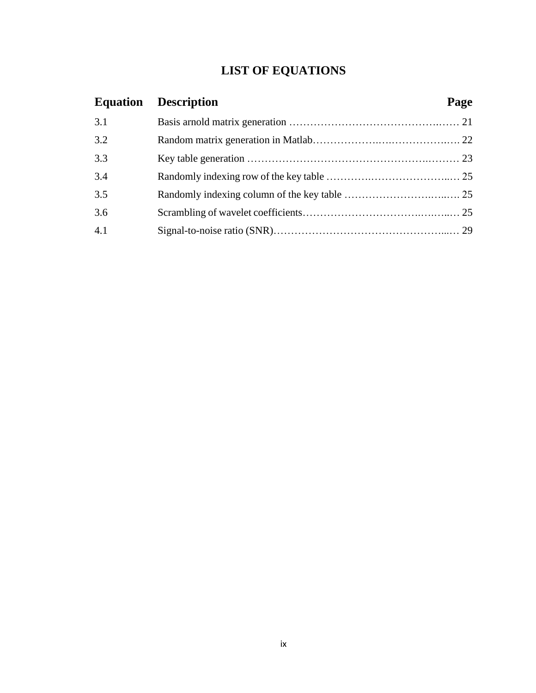## **LIST OF EQUATIONS**

<span id="page-10-0"></span>

|     | <b>Equation Description</b> | Page |
|-----|-----------------------------|------|
| 3.1 |                             |      |
| 3.2 |                             |      |
| 3.3 |                             |      |
| 3.4 |                             |      |
| 3.5 |                             |      |
| 3.6 |                             |      |
| 4.1 |                             |      |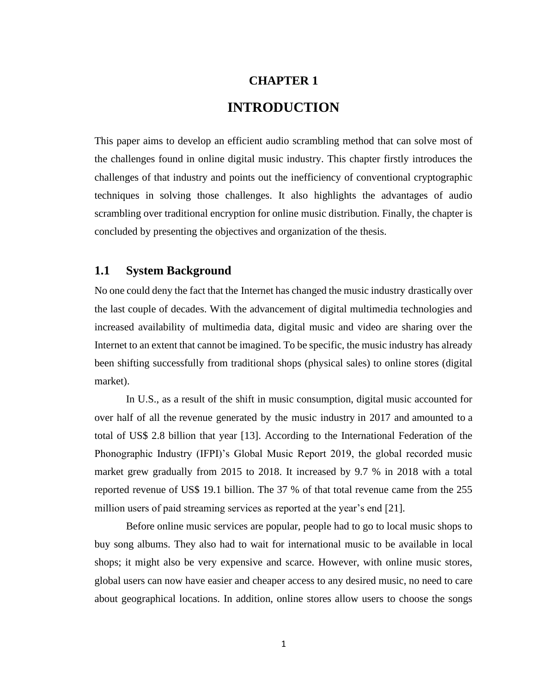# **CHAPTER 1 INTRODUCTION**

<span id="page-11-0"></span>This paper aims to develop an efficient audio scrambling method that can solve most of the challenges found in online digital music industry. This chapter firstly introduces the challenges of that industry and points out the inefficiency of conventional cryptographic techniques in solving those challenges. It also highlights the advantages of audio scrambling over traditional encryption for online music distribution. Finally, the chapter is concluded by presenting the objectives and organization of the thesis.

#### <span id="page-11-1"></span>**1.1 System Background**

No one could deny the fact that the [Internet has changed the music industry](https://www.recordingconnection.com/compare-us/what-we-do) drastically over the last couple of decades. With the advancement of digital multimedia technologies and increased availability of multimedia data, digital music and video are sharing over the Internet to an extent that cannot be imagined. To be specific, the music industry has already been shifting successfully from traditional shops (physical sales) to online stores (digital market).

In U.S., as a result of the shift in music consumption, digital music accounted for over half of all the [revenue generated by the music industry](https://www.statista.com/statistics/421012/global-music-industry-revenues-source-share/) in 2017 and [amounted to](https://www.statista.com/statistics/263109/global-digital-music-revenue/) a total of US\$ 2.8 billion that year [13]. According to the International Federation of the Phonographic Industry (IFPI)'s Global Music Report 2019, the global recorded music market grew gradually from 2015 to 2018. It increased by 9.7 % in 2018 with a total reported revenue of US\$ 19.1 billion. The 37 % of that total revenue came from the 255 million users of paid streaming services as reported at the year's end [21].

Before online music services are popular, people had to go to local music shops to buy song albums. They also had to wait for international music to be available in local shops; it might also be very expensive and scarce. However, with online music stores, global users can now have easier and cheaper access to any desired music, no need to care about geographical locations. In addition, online stores allow users to choose the songs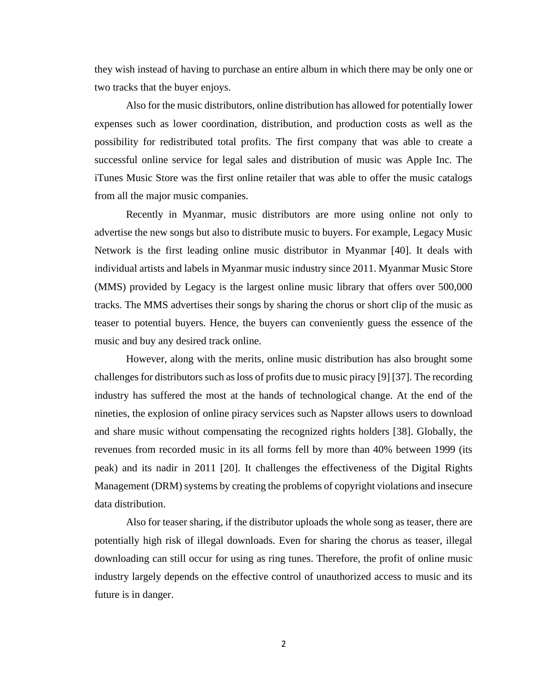they wish instead of having to purchase an entire album in which there may be only one or two tracks that the buyer enjoys.

Also for the music distributors, online distribution has allowed for potentially lower expenses such as lower coordination, distribution, and production costs as well as the possibility for redistributed total profits. The first company that was able to create a successful online service for legal sales and distribution of music was Apple Inc. The iTunes Music Store was the first online retailer that was able to offer the music catalogs from all the major music companies.

Recently in Myanmar, music distributors are more using online not only to advertise the new songs but also to distribute music to buyers. For example, Legacy Music Network is the first leading online music distributor in Myanmar [40]. It deals with individual artists and labels in Myanmar music industry since 2011. Myanmar Music Store (MMS) provided by Legacy is the largest online music library that offers over 500,000 tracks. The MMS advertises their songs by sharing the chorus or short clip of the music as teaser to potential buyers. Hence, the buyers can conveniently guess the essence of the music and buy any desired track online.

However, along with the merits, online music distribution has also brought some challenges for distributors such as loss of profits due to music piracy [9] [37]. The recording industry has suffered the most at the hands of technological change. At the end of the nineties, the explosion of online piracy services such as Napster allows users to download and share music without compensating the recognized rights holders [38]. Globally, the revenues from recorded music in its all forms fell by more than 40% between 1999 (its peak) and its nadir in 2011 [20]. It challenges the effectiveness of the Digital Rights Management (DRM) systems by creating the problems of copyright violations and insecure data distribution.

Also for teaser sharing, if the distributor uploads the whole song as teaser, there are potentially high risk of illegal downloads. Even for sharing the chorus as teaser, illegal downloading can still occur for using as ring tunes. Therefore, the profit of online music industry largely depends on the effective control of unauthorized access to music and its future is in danger.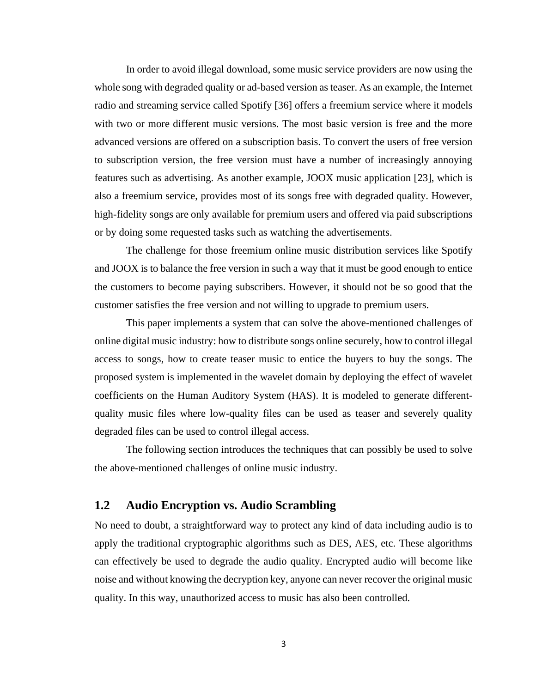In order to avoid illegal download, some music service providers are now using the whole song with degraded quality or ad-based version as teaser. As an example, the Internet radio and streaming service called Spotify [36] offers a freemium service where it models with two or more different music versions. The most basic version is free and the more advanced versions are offered on a subscription basis. To convert the users of free version to subscription version, the free version must have a number of increasingly annoying features such as advertising. As another example, JOOX music application [23], which is also a freemium service, provides most of its songs free with degraded quality. However, high-fidelity songs are only available for premium users and offered via paid subscriptions or by doing some requested tasks such as watching the advertisements.

The challenge for those freemium online music distribution services like Spotify and JOOX is to balance the free version in such a way that it must be good enough to entice the customers to become paying subscribers. However, it should not be so good that the customer satisfies the free version and not willing to upgrade to premium users.

This paper implements a system that can solve the above-mentioned challenges of online digital music industry: how to distribute songs online securely, how to control illegal access to songs, how to create teaser music to entice the buyers to buy the songs. The proposed system is implemented in the wavelet domain by deploying the effect of wavelet coefficients on the Human Auditory System (HAS). It is modeled to generate differentquality music files where low-quality files can be used as teaser and severely quality degraded files can be used to control illegal access.

The following section introduces the techniques that can possibly be used to solve the above-mentioned challenges of online music industry.

#### <span id="page-13-0"></span>**1.2 Audio Encryption vs. Audio Scrambling**

No need to doubt, a straightforward way to protect any kind of data including audio is to apply the traditional cryptographic algorithms such as DES, AES, etc. These algorithms can effectively be used to degrade the audio quality. Encrypted audio will become like noise and without knowing the decryption key, anyone can never recover the original music quality. In this way, unauthorized access to music has also been controlled.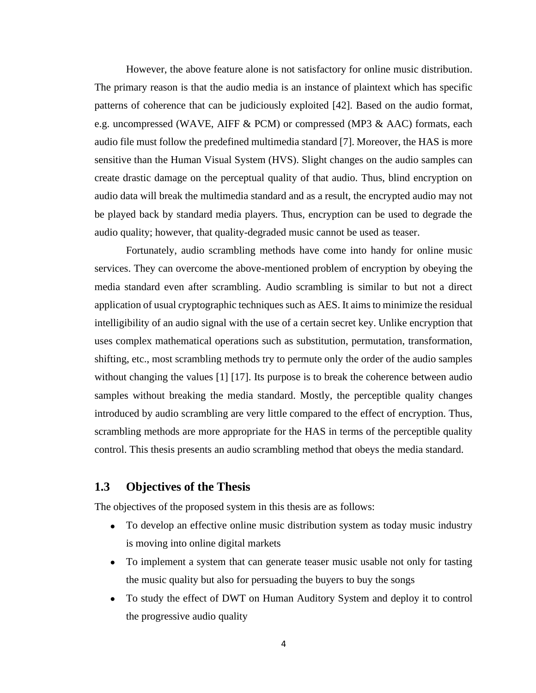However, the above feature alone is not satisfactory for online music distribution. The primary reason is that the audio media is an instance of plaintext which has specific patterns of coherence that can be judiciously exploited [42]. Based on the audio format, e.g. uncompressed (WAVE, AIFF & PCM) or compressed (MP3 & AAC) formats, each audio file must follow the predefined multimedia standard [7]. Moreover, the HAS is more sensitive than the Human Visual System (HVS). Slight changes on the audio samples can create drastic damage on the perceptual quality of that audio. Thus, blind encryption on audio data will break the multimedia standard and as a result, the encrypted audio may not be played back by standard media players. Thus, encryption can be used to degrade the audio quality; however, that quality-degraded music cannot be used as teaser.

Fortunately, audio scrambling methods have come into handy for online music services. They can overcome the above-mentioned problem of encryption by obeying the media standard even after scrambling. Audio scrambling is similar to but not a direct application of usual cryptographic techniques such as AES. It aims to minimize the residual intelligibility of an audio signal with the use of a certain secret key. Unlike encryption that uses complex mathematical operations such as substitution, permutation, transformation, shifting, etc., most scrambling methods try to permute only the order of the audio samples without changing the values [1] [17]. Its purpose is to break the coherence between audio samples without breaking the media standard. Mostly, the perceptible quality changes introduced by audio scrambling are very little compared to the effect of encryption. Thus, scrambling methods are more appropriate for the HAS in terms of the perceptible quality control. This thesis presents an audio scrambling method that obeys the media standard.

#### <span id="page-14-0"></span>**1.3 Objectives of the Thesis**

The objectives of the proposed system in this thesis are as follows:

- To develop an effective online music distribution system as today music industry is moving into online digital markets
- To implement a system that can generate teaser music usable not only for tasting the music quality but also for persuading the buyers to buy the songs
- To study the effect of DWT on Human Auditory System and deploy it to control the progressive audio quality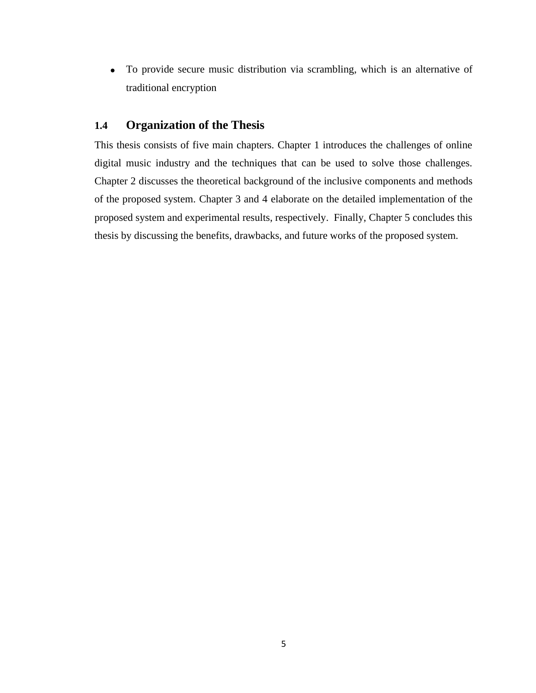• To provide secure music distribution via scrambling, which is an alternative of traditional encryption

#### <span id="page-15-0"></span>**1.4 Organization of the Thesis**

This thesis consists of five main chapters. Chapter 1 introduces the challenges of online digital music industry and the techniques that can be used to solve those challenges. Chapter 2 discusses the theoretical background of the inclusive components and methods of the proposed system. Chapter 3 and 4 elaborate on the detailed implementation of the proposed system and experimental results, respectively. Finally, Chapter 5 concludes this thesis by discussing the benefits, drawbacks, and future works of the proposed system.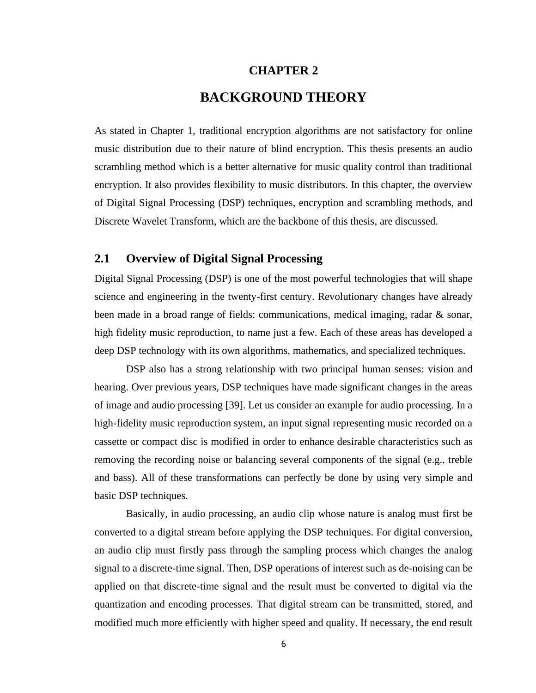#### **CHAPTER 2**

## **BACKGROUND THEORY**

<span id="page-16-0"></span>As stated in Chapter 1, traditional encryption algorithms are not satisfactory for online music distribution due to their nature of blind encryption. This thesis presents an audio scrambling method which is a better alternative for music quality control than traditional encryption. It also provides flexibility to music distributors. In this chapter, the overview of Digital Signal Processing (DSP) techniques, encryption and scrambling methods, and Discrete Wavelet Transform, which are the backbone of this thesis, are discussed.

#### <span id="page-16-1"></span>**2.1 Overview of Digital Signal Processing**

Digital Signal Processing (DSP) is one of the most powerful technologies that will shape science and engineering in the twenty-first century. Revolutionary changes have already been made in a broad range of fields: communications, medical imaging, radar & sonar, high fidelity music reproduction, to name just a few. Each of these areas has developed a deep DSP technology with its own algorithms, mathematics, and specialized techniques.

DSP also has a strong relationship with two principal human senses: vision and hearing. Over previous years, DSP techniques have made significant changes in the areas of image and audio processing [39]. Let us consider an example for audio processing. In a high-fidelity music reproduction system, an input signal representing music recorded on a cassette or compact disc is modified in order to enhance desirable characteristics such as removing the recording noise or balancing several components of the signal (e.g., treble and bass). All of these transformations can perfectly be done by using very simple and basic DSP techniques.

Basically, in audio processing, an audio clip whose nature is analog must first be converted to a digital stream before applying the DSP techniques. For digital conversion, an audio clip must firstly pass through the sampling process which changes the analog signal to a discrete-time signal. Then, DSP operations of interest such as de-noising can be applied on that discrete-time signal and the result must be converted to digital via the quantization and encoding processes. That digital stream can be transmitted, stored, and modified much more efficiently with higher speed and quality. If necessary, the end result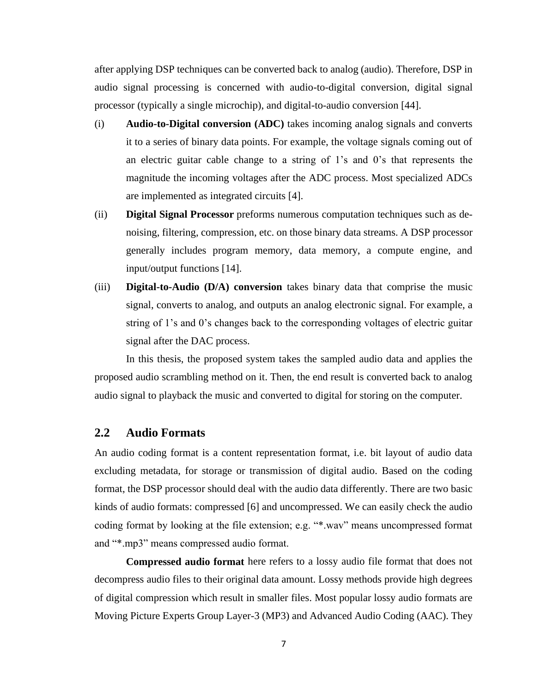after applying DSP techniques can be converted back to analog (audio). Therefore, DSP in audio signal processing is concerned with audio-to-digital conversion, digital signal processor (typically a single microchip), and digital-to-audio conversion [44].

- (i) **Audio-to-Digital conversion (ADC)** takes incoming analog signals and converts it to a series of binary data points. For example, the voltage signals coming out of an electric guitar cable change to a string of 1's and 0's that represents the magnitude the incoming voltages after the ADC process. Most specialized ADCs are implemented as integrated circuits [4].
- (ii) **Digital Signal Processor** preforms numerous computation techniques such as denoising, filtering, compression, etc. on those binary data streams. A DSP processor generally includes program memory, data memory, a compute engine, and input/output functions [14].
- (iii) **Digital-to-Audio (D/A) conversion** takes binary data that comprise the music signal, converts to analog, and outputs an analog electronic signal. For example, a string of 1's and 0's changes back to the corresponding voltages of electric guitar signal after the DAC process.

In this thesis, the proposed system takes the sampled audio data and applies the proposed audio scrambling method on it. Then, the end result is converted back to analog audio signal to playback the music and converted to digital for storing on the computer.

#### <span id="page-17-0"></span>**2.2 Audio Formats**

An audio coding format is a content representation format, i.e. bit layout of audio data excluding metadata, for storage or transmission of digital audio. Based on the coding format, the DSP processor should deal with the audio data differently. There are two basic kinds of audio formats: compressed [6] and uncompressed. We can easily check the audio coding format by looking at the file extension; e.g. "\*.wav" means uncompressed format and "\*.mp3" means compressed audio format.

**Compressed audio format** here refers to a lossy audio file format that does not decompress audio files to their original data amount. Lossy methods provide high degrees of digital compression which result in smaller files. Most popular lossy audio formats are Moving Picture Experts Group Layer-3 (MP3) and Advanced Audio Coding (AAC). They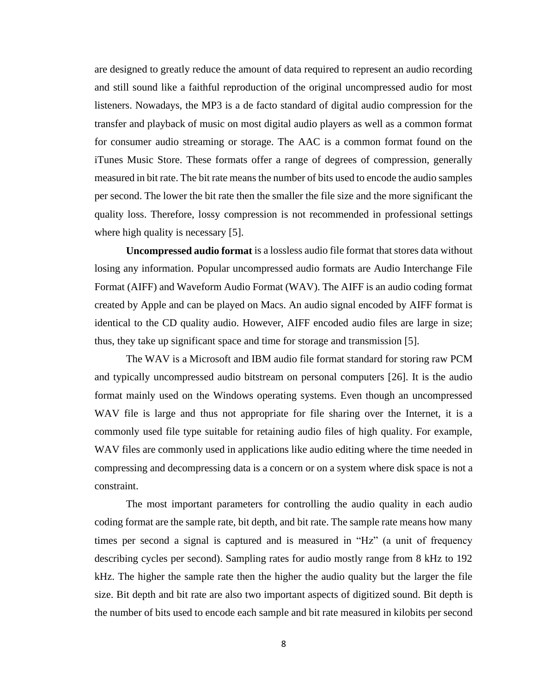are designed to greatly reduce the amount of data required to represent an audio recording and still sound like a faithful reproduction of the original uncompressed audio for most listeners. Nowadays, the MP3 is a de facto standard of digital audio compression for the transfer and playback of music on most digital audio players as well as a common format for consumer audio streaming or storage. The AAC is a common format found on the iTunes Music Store. These formats offer a range of degrees of compression, generally measured in bit rate. The bit rate means the number of bits used to encode the audio samples per second. The lower the bit rate then the smaller the file size and the more significant the quality loss. Therefore, lossy compression is not recommended in professional settings where high quality is necessary [5].

**Uncompressed audio format** is a lossless audio file format that stores data without losing any information. Popular uncompressed audio formats are Audio Interchange File Format (AIFF) and Waveform Audio Format (WAV). The AIFF is an audio coding format created by Apple and can be played on Macs. An audio signal encoded by AIFF format is identical to the CD quality audio. However, AIFF encoded audio files are large in size; thus, they take up significant space and time for storage and transmission [5].

The WAV is a Microsoft and IBM audio file format standard for storing raw PCM and typically uncompressed audio bitstream on personal computers [26]. It is the audio format mainly used on the Windows operating systems. Even though an uncompressed WAV file is large and thus not appropriate for file sharing over the Internet, it is a commonly used file type suitable for retaining audio files of high quality. For example, WAV files are commonly used in applications like audio editing where the time needed in compressing and decompressing data is a concern or on a system where disk space is not a constraint.

The most important parameters for controlling the audio quality in each audio coding format are the sample rate, bit depth, and bit rate. The sample rate means how many times per second a signal is captured and is measured in "Hz" (a unit of frequency describing cycles per second). Sampling rates for audio mostly range from 8 kHz to 192 kHz. The higher the sample rate then the higher the audio quality but the larger the file size. Bit depth and bit rate are also two important aspects of digitized sound. Bit depth is the number of bits used to encode each sample and bit rate measured in kilobits per second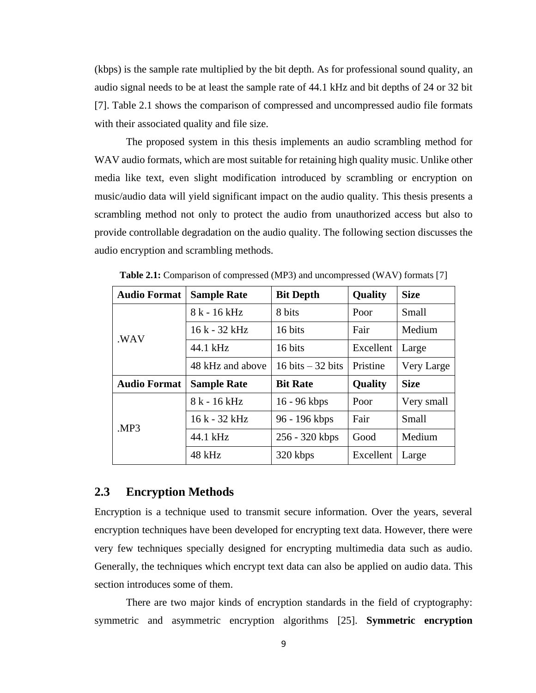(kbps) is the sample rate multiplied by the bit depth. As for professional sound quality, an audio signal needs to be at least the sample rate of 44.1 kHz and bit depths of 24 or 32 bit [7]. Table 2.1 shows the comparison of compressed and uncompressed audio file formats with their associated quality and file size.

The proposed system in this thesis implements an audio scrambling method for WAV audio formats, which are most suitable for retaining high quality music. Unlike other media like text, even slight modification introduced by scrambling or encryption on music/audio data will yield significant impact on the audio quality. This thesis presents a scrambling method not only to protect the audio from unauthorized access but also to provide controllable degradation on the audio quality. The following section discusses the audio encryption and scrambling methods.

| <b>Audio Format</b> | <b>Sample Rate</b> | <b>Bit Depth</b>   | <b>Quality</b> | <b>Size</b> |
|---------------------|--------------------|--------------------|----------------|-------------|
|                     | 8 k - 16 kHz       | 8 bits             | Poor           | Small       |
| .WAV                | 16 k - 32 kHz      | 16 bits            | Fair           | Medium      |
|                     | 44.1 kHz           | 16 bits            | Excellent      | Large       |
|                     | 48 kHz and above   | 16 bits $-32$ bits | Pristine       | Very Large  |
| <b>Audio Format</b> | <b>Sample Rate</b> | <b>Bit Rate</b>    | <b>Quality</b> | <b>Size</b> |
|                     | 8 k - 16 kHz       | $16 - 96$ kbps     | Poor           | Very small  |
| MP3                 | 16 k - 32 kHz      | 96 - 196 kbps      | Fair           | Small       |
|                     | 44.1 kHz           | 256 - 320 kbps     | Good           | Medium      |
|                     | 48 kHz             | 320 kbps           | Excellent      | Large       |

**Table 2.1:** Comparison of compressed (MP3) and uncompressed (WAV) formats [7]

#### <span id="page-19-0"></span>**2.3 Encryption Methods**

Encryption is a technique used to transmit secure information. Over the years, several encryption techniques have been developed for encrypting text data. However, there were very few techniques specially designed for encrypting multimedia data such as audio. Generally, the techniques which encrypt text data can also be applied on audio data. This section introduces some of them.

There are two major kinds of encryption standards in the field of cryptography: symmetric and asymmetric encryption algorithms [25]. **Symmetric encryption**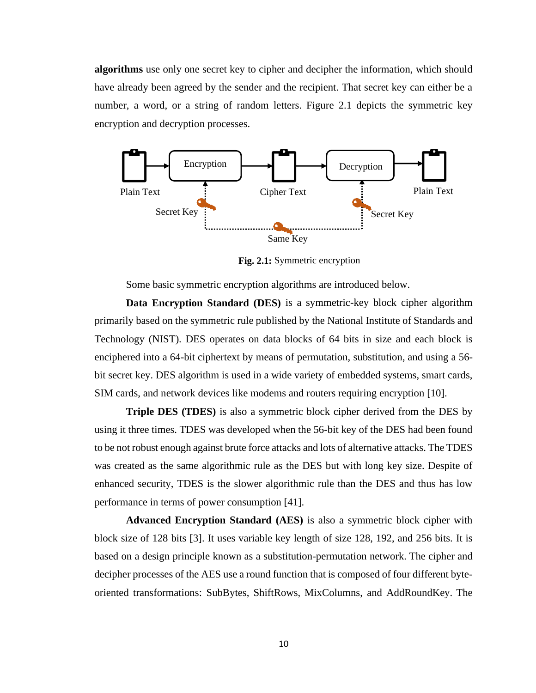**algorithms** use only one secret key to cipher and decipher the information, which should have already been agreed by the sender and the recipient. That secret key can either be a number, a word, or a string of random letters. Figure 2.1 depicts the symmetric key encryption and decryption processes.



**Fig. 2.1:** Symmetric encryption

Some basic symmetric encryption algorithms are introduced below.

**Data Encryption Standard (DES)** is a symmetric-key block cipher algorithm primarily based on the symmetric rule published by the National Institute of Standards and Technology (NIST). DES operates on data blocks of 64 bits in size and each block is enciphered into a 64-bit ciphertext by means of permutation, substitution, and using a 56 bit secret key. DES algorithm is used in a wide variety of embedded systems, smart cards, SIM cards, and network devices like modems and routers requiring encryption [10].

**Triple DES (TDES)** is also a symmetric block cipher derived from the DES by using it three times. TDES was developed when the 56-bit key of the DES had been found to be not robust enough against brute force attacks and lots of alternative attacks. The TDES was created as the same algorithmic rule as the DES but with long key size. Despite of enhanced security, TDES is the slower algorithmic rule than the DES and thus has low performance in terms of power consumption [41].

**Advanced Encryption Standard (AES)** is also a symmetric block cipher with block size of 128 bits [3]. It uses variable key length of size 128, 192, and 256 bits. It is based on a design principle known as a substitution-permutation network. The cipher and decipher processes of the AES use a round function that is composed of four different byteoriented transformations: SubBytes, ShiftRows, MixColumns, and AddRoundKey. The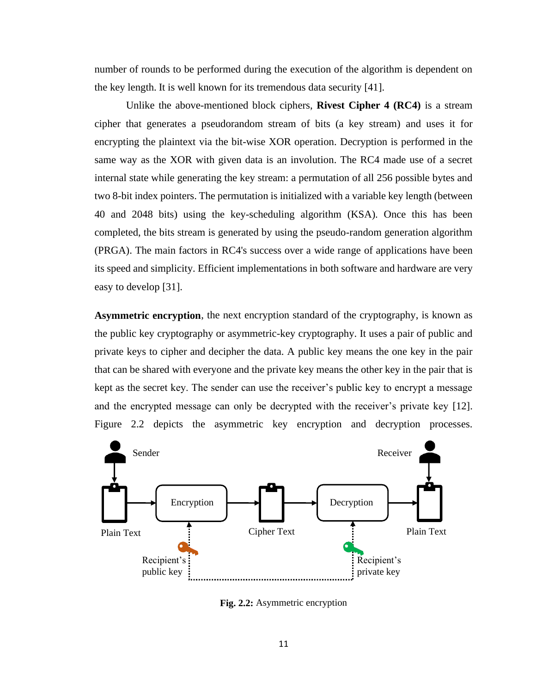number of rounds to be performed during the execution of the algorithm is dependent on the key length. It is well known for its tremendous data security [41].

Unlike the above-mentioned block ciphers, **Rivest Cipher 4 (RC4)** is a stream cipher that generates a pseudorandom stream of bits (a key stream) and uses it for encrypting the plaintext via the bit-wise XOR operation. Decryption is performed in the same way as the XOR with given data is an involution. The RC4 made use of a secret internal state while generating the key stream: a permutation of all 256 possible bytes and two 8-bit index pointers. The permutation is initialized with a variable key length (between 40 and 2048 bits) using the key-scheduling algorithm (KSA). Once this has been completed, the bits stream is generated by using the pseudo-random generation algorithm (PRGA). The main factors in RC4's success over a wide range of applications have been its speed and simplicity. Efficient implementations in both software and hardware are very easy to develop [31].

**Asymmetric encryption**, the next encryption standard of the cryptography, is known as the public key cryptography or asymmetric-key cryptography. It uses a pair of public and private keys to cipher and decipher the data. A public key means the one key in the pair that can be shared with everyone and the private key means the other key in the pair that is kept as the secret key. The sender can use the receiver's public key to encrypt a message and the encrypted message can only be decrypted with the receiver's private key [12]. Figure 2.2 depicts the asymmetric key encryption and decryption processes.



**Fig. 2.2:** Asymmetric encryption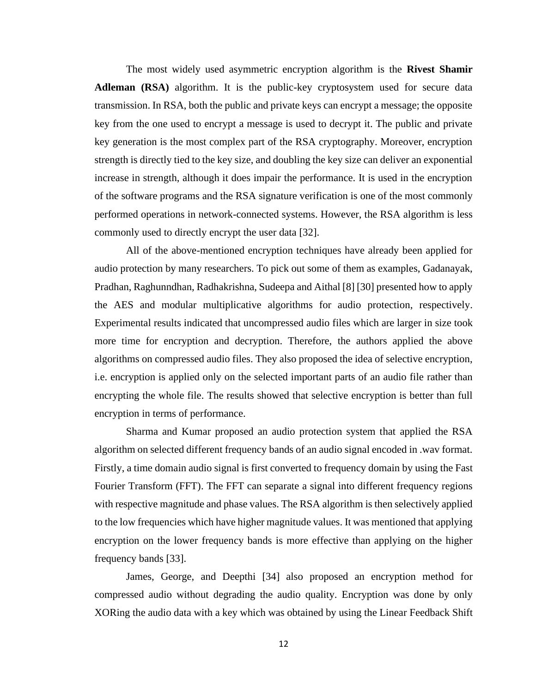The most widely used asymmetric encryption algorithm is the **Rivest Shamir Adleman (RSA)** algorithm. It is the public-key cryptosystem used for secure data transmission. In RSA, both the public and private keys can encrypt a message; the opposite key from the one used to encrypt a message is used to decrypt it. The public and private key generation is the most complex part of the RSA cryptography. Moreover, encryption strength is directly tied to the key size, and doubling the key size can deliver an exponential increase in strength, although it does impair the performance. It is used in the encryption of the software programs and the RSA signature verification is one of the most commonly performed operations in network-connected systems. However, the RSA algorithm is less commonly used to directly encrypt the user data [32].

All of the above-mentioned encryption techniques have already been applied for audio protection by many researchers. To pick out some of them as examples, Gadanayak, Pradhan, Raghunndhan, Radhakrishna, Sudeepa and Aithal [8] [30] presented how to apply the AES and modular multiplicative algorithms for audio protection, respectively. Experimental results indicated that uncompressed audio files which are larger in size took more time for encryption and decryption. Therefore, the authors applied the above algorithms on compressed audio files. They also proposed the idea of selective encryption, i.e. encryption is applied only on the selected important parts of an audio file rather than encrypting the whole file. The results showed that selective encryption is better than full encryption in terms of performance.

Sharma and Kumar proposed an audio protection system that applied the RSA algorithm on selected different frequency bands of an audio signal encoded in .wav format. Firstly, a time domain audio signal is first converted to frequency domain by using the Fast Fourier Transform (FFT). The FFT can separate a signal into different frequency regions with respective magnitude and phase values. The RSA algorithm is then selectively applied to the low frequencies which have higher magnitude values. It was mentioned that applying encryption on the lower frequency bands is more effective than applying on the higher frequency bands [33].

James, George, and Deepthi [34] also proposed an encryption method for compressed audio without degrading the audio quality. Encryption was done by only XORing the audio data with a key which was obtained by using the Linear Feedback Shift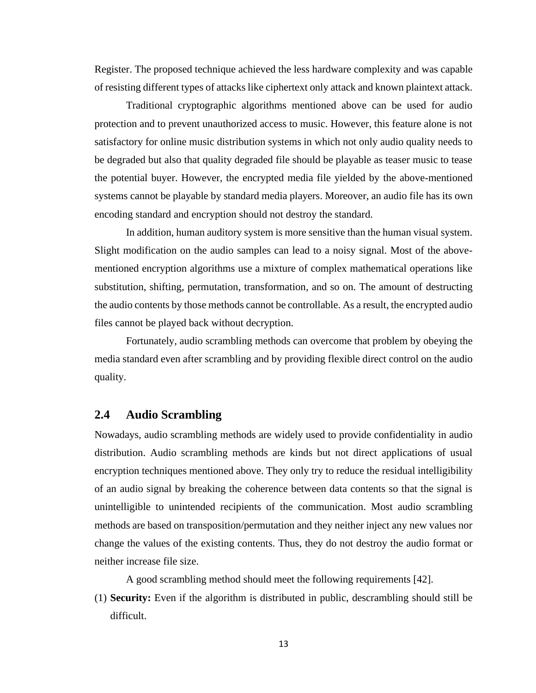Register. The proposed technique achieved the less hardware complexity and was capable of resisting different types of attacks like ciphertext only attack and known plaintext attack.

Traditional cryptographic algorithms mentioned above can be used for audio protection and to prevent unauthorized access to music. However, this feature alone is not satisfactory for online music distribution systems in which not only audio quality needs to be degraded but also that quality degraded file should be playable as teaser music to tease the potential buyer. However, the encrypted media file yielded by the above-mentioned systems cannot be playable by standard media players. Moreover, an audio file has its own encoding standard and encryption should not destroy the standard.

In addition, human auditory system is more sensitive than the human visual system. Slight modification on the audio samples can lead to a noisy signal. Most of the abovementioned encryption algorithms use a mixture of complex mathematical operations like substitution, shifting, permutation, transformation, and so on. The amount of destructing the audio contents by those methods cannot be controllable. As a result, the encrypted audio files cannot be played back without decryption.

Fortunately, audio scrambling methods can overcome that problem by obeying the media standard even after scrambling and by providing flexible direct control on the audio quality.

#### <span id="page-23-0"></span>**2.4 Audio Scrambling**

Nowadays, audio scrambling methods are widely used to provide confidentiality in audio distribution. Audio scrambling methods are kinds but not direct applications of usual encryption techniques mentioned above. They only try to reduce the residual intelligibility of an audio signal by breaking the coherence between data contents so that the signal is unintelligible to unintended recipients of the communication. Most audio scrambling methods are based on transposition/permutation and they neither inject any new values nor change the values of the existing contents. Thus, they do not destroy the audio format or neither increase file size.

A good scrambling method should meet the following requirements [42].

(1) **Security:** Even if the algorithm is distributed in public, descrambling should still be difficult.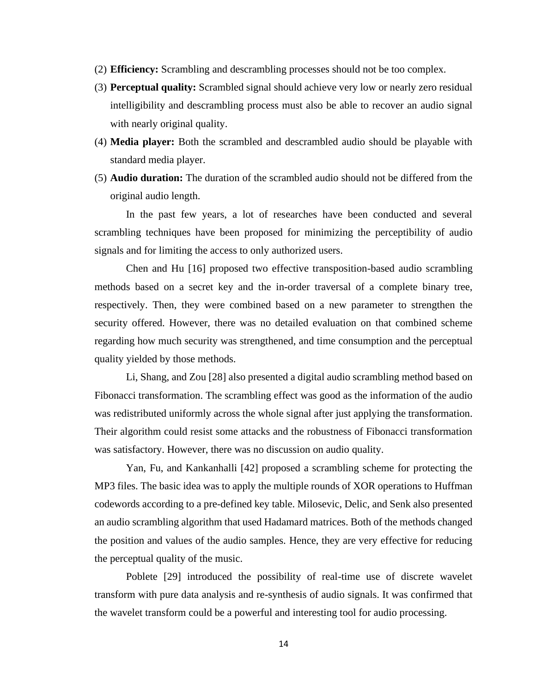- (2) **Efficiency:** Scrambling and descrambling processes should not be too complex.
- (3) **Perceptual quality:** Scrambled signal should achieve very low or nearly zero residual intelligibility and descrambling process must also be able to recover an audio signal with nearly original quality.
- (4) **Media player:** Both the scrambled and descrambled audio should be playable with standard media player.
- (5) **Audio duration:** The duration of the scrambled audio should not be differed from the original audio length.

In the past few years, a lot of researches have been conducted and several scrambling techniques have been proposed for minimizing the perceptibility of audio signals and for limiting the access to only authorized users.

Chen and Hu [16] proposed two effective transposition-based audio scrambling methods based on a secret key and the in-order traversal of a complete binary tree, respectively. Then, they were combined based on a new parameter to strengthen the security offered. However, there was no detailed evaluation on that combined scheme regarding how much security was strengthened, and time consumption and the perceptual quality yielded by those methods.

Li, Shang, and Zou [28] also presented a digital audio scrambling method based on Fibonacci transformation. The scrambling effect was good as the information of the audio was redistributed uniformly across the whole signal after just applying the transformation. Their algorithm could resist some attacks and the robustness of Fibonacci transformation was satisfactory. However, there was no discussion on audio quality.

Yan, Fu, and Kankanhalli [42] proposed a scrambling scheme for protecting the MP3 files. The basic idea was to apply the multiple rounds of XOR operations to Huffman codewords according to a pre-defined key table. Milosevic, Delic, and Senk also presented an audio scrambling algorithm that used Hadamard matrices. Both of the methods changed the position and values of the audio samples. Hence, they are very effective for reducing the perceptual quality of the music.

Poblete [29] introduced the possibility of real-time use of discrete wavelet transform with pure data analysis and re-synthesis of audio signals. It was confirmed that the wavelet transform could be a powerful and interesting tool for audio processing.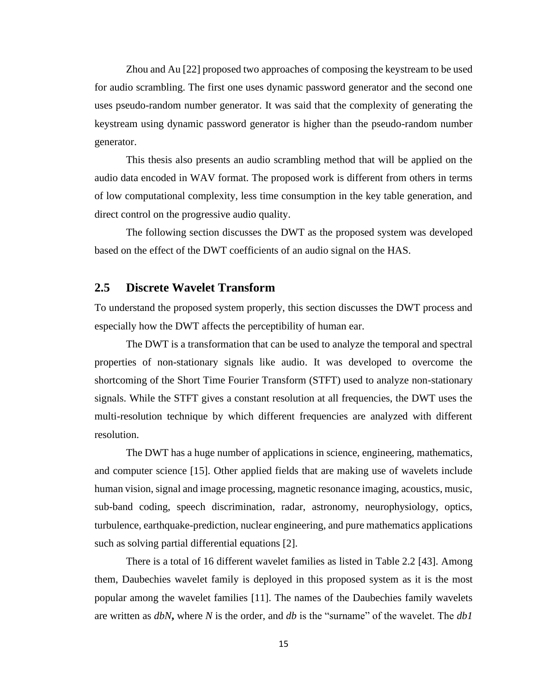Zhou and Au [22] proposed two approaches of composing the keystream to be used for audio scrambling. The first one uses dynamic password generator and the second one uses pseudo-random number generator. It was said that the complexity of generating the keystream using dynamic password generator is higher than the pseudo-random number generator.

This thesis also presents an audio scrambling method that will be applied on the audio data encoded in WAV format. The proposed work is different from others in terms of low computational complexity, less time consumption in the key table generation, and direct control on the progressive audio quality.

The following section discusses the DWT as the proposed system was developed based on the effect of the DWT coefficients of an audio signal on the HAS.

#### <span id="page-25-0"></span>**2.5 Discrete Wavelet Transform**

To understand the proposed system properly, this section discusses the DWT process and especially how the DWT affects the perceptibility of human ear.

The DWT is a transformation that can be used to analyze the temporal and spectral properties of non-stationary signals like audio. It was developed to overcome the shortcoming of the Short Time Fourier Transform (STFT) used to analyze non-stationary signals. While the STFT gives a constant resolution at all frequencies, the DWT uses the multi-resolution technique by which different frequencies are analyzed with different resolution.

The DWT has a huge number of applications in science, engineering, mathematics, and computer science [15]. Other applied fields that are making use of wavelets include human vision, signal and image processing, magnetic resonance imaging, acoustics, music, sub-band coding, speech discrimination, radar, astronomy, neurophysiology, optics, turbulence, earthquake-prediction, nuclear engineering, and pure mathematics applications such as solving partial differential equations [2].

There is a total of 16 different wavelet families as listed in Table 2.2 [43]. Among them, Daubechies wavelet family is deployed in this proposed system as it is the most popular among the wavelet families [11]. The names of the Daubechies family wavelets are written as *dbN***,** where *N* is the order, and *db* is the "surname" of the wavelet. The *db1*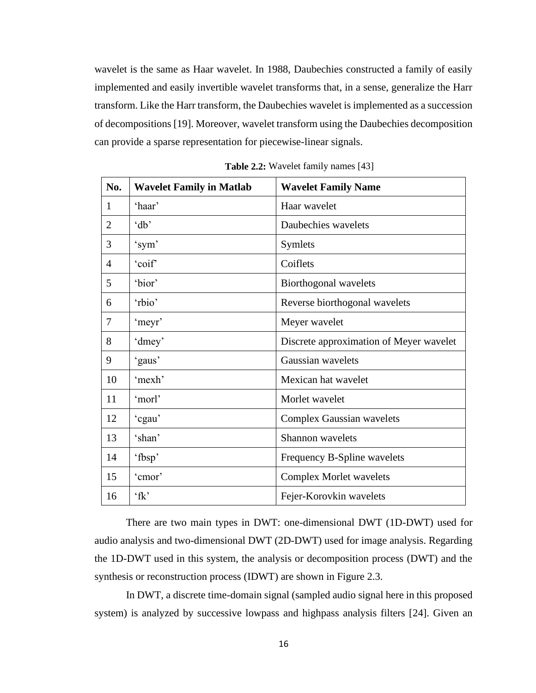wavelet is the same as Haar wavelet. In 1988, Daubechies constructed a family of easily implemented and easily invertible wavelet transforms that, in a sense, generalize the Harr transform. Like the Harr transform, the Daubechies wavelet is implemented as a succession of decompositions [19]. Moreover, wavelet transform using the Daubechies decomposition can provide a sparse representation for piecewise-linear signals.

| No.            | <b>Wavelet Family in Matlab</b> | <b>Wavelet Family Name</b>              |
|----------------|---------------------------------|-----------------------------------------|
| 1              | 'haar'                          | Haar wavelet                            |
| $\overline{2}$ | 'db'                            | Daubechies wavelets                     |
| 3              | 'sym'                           | <b>Symlets</b>                          |
| 4              | 'coif'                          | Coiflets                                |
| 5              | 'bior'                          | Biorthogonal wavelets                   |
| 6              | 'rbio'                          | Reverse biorthogonal wavelets           |
| 7              | 'meyr'                          | Meyer wavelet                           |
| 8              | 'dmey'                          | Discrete approximation of Meyer wavelet |
| 9              | 'gaus'                          | Gaussian wavelets                       |
| 10             | 'mexh'                          | Mexican hat wavelet                     |
| 11             | 'morl'                          | Morlet wavelet                          |
| 12             | 'cgau'                          | <b>Complex Gaussian wavelets</b>        |
| 13             | 'shan'                          | Shannon wavelets                        |
| 14             | 'fbsp'                          | Frequency B-Spline wavelets             |
| 15             | 'cmor'                          | <b>Complex Morlet wavelets</b>          |
| 16             | $f_{k}$                         | Fejer-Korovkin wavelets                 |

**Table 2.2:** Wavelet family names [43]

There are two main types in DWT: one-dimensional DWT (1D-DWT) used for audio analysis and two-dimensional DWT (2D-DWT) used for image analysis. Regarding the 1D-DWT used in this system, the analysis or decomposition process (DWT) and the synthesis or reconstruction process (IDWT) are shown in Figure 2.3.

In DWT, a discrete time-domain signal (sampled audio signal here in this proposed system) is analyzed by successive lowpass and highpass analysis filters [24]. Given an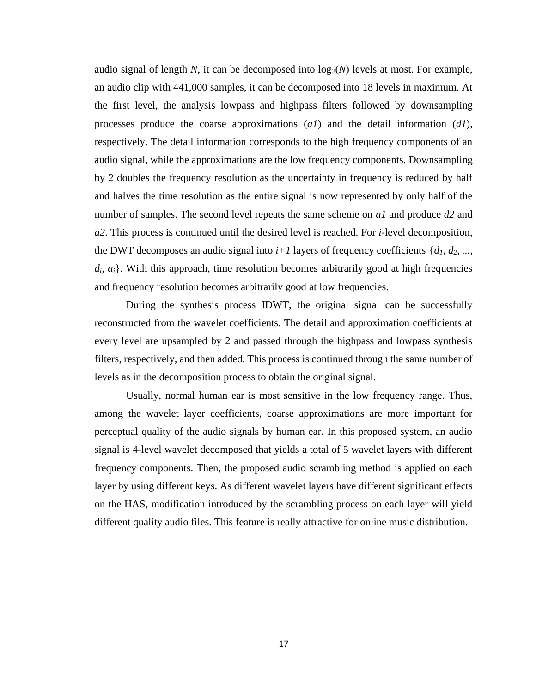audio signal of length N, it can be decomposed into  $log_2(N)$  levels at most. For example, an audio clip with 441,000 samples, it can be decomposed into 18 levels in maximum. At the first level, the analysis lowpass and highpass filters followed by downsampling processes produce the coarse approximations (*a1*) and the detail information (*d1*), respectively. The detail information corresponds to the high frequency components of an audio signal, while the approximations are the low frequency components. Downsampling by 2 doubles the frequency resolution as the uncertainty in frequency is reduced by half and halves the time resolution as the entire signal is now represented by only half of the number of samples. The second level repeats the same scheme on *a1* and produce *d2* and *a2*. This process is continued until the desired level is reached. For *i*-level decomposition, the DWT decomposes an audio signal into  $i+1$  layers of frequency coefficients  $\{d_1, d_2, \ldots, d_k\}$  $d_i$ ,  $a_i$ . With this approach, time resolution becomes arbitrarily good at high frequencies and frequency resolution becomes arbitrarily good at low frequencies.

During the synthesis process IDWT, the original signal can be successfully reconstructed from the wavelet coefficients. The detail and approximation coefficients at every level are upsampled by 2 and passed through the highpass and lowpass synthesis filters, respectively, and then added. This process is continued through the same number of levels as in the decomposition process to obtain the original signal.

Usually, normal human ear is most sensitive in the low frequency range. Thus, among the wavelet layer coefficients, coarse approximations are more important for perceptual quality of the audio signals by human ear. In this proposed system, an audio signal is 4-level wavelet decomposed that yields a total of 5 wavelet layers with different frequency components. Then, the proposed audio scrambling method is applied on each layer by using different keys. As different wavelet layers have different significant effects on the HAS, modification introduced by the scrambling process on each layer will yield different quality audio files. This feature is really attractive for online music distribution.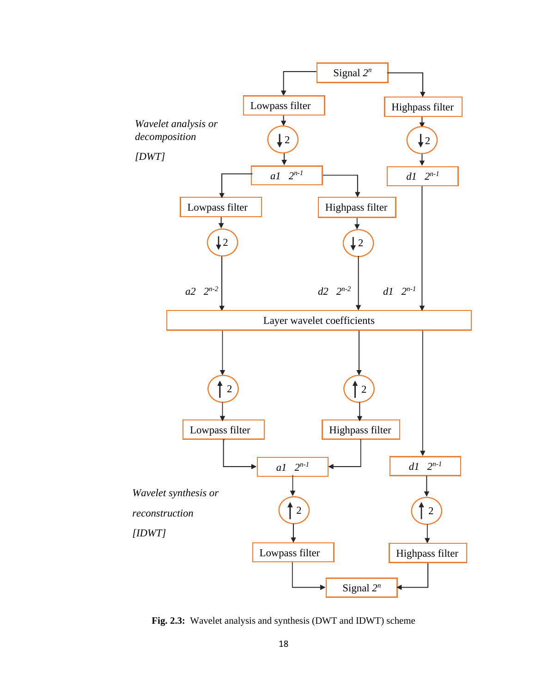

**Fig. 2.3:** Wavelet analysis and synthesis (DWT and IDWT) scheme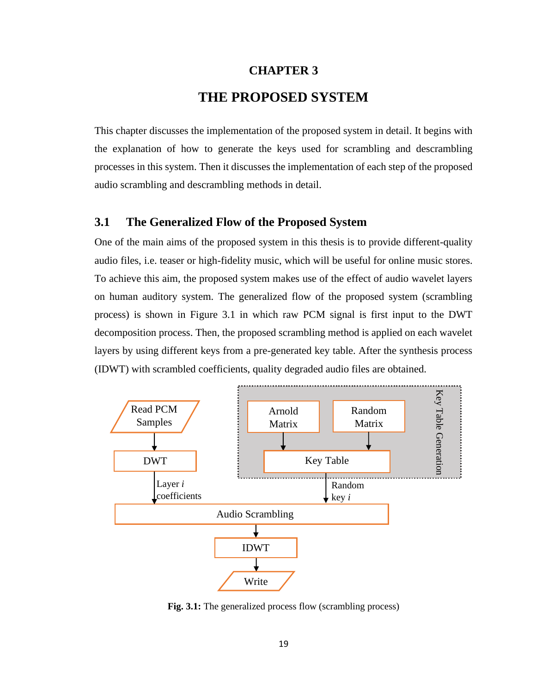#### **CHAPTER 3**

## **THE PROPOSED SYSTEM**

<span id="page-29-0"></span>This chapter discusses the implementation of the proposed system in detail. It begins with the explanation of how to generate the keys used for scrambling and descrambling processes in this system. Then it discusses the implementation of each step of the proposed audio scrambling and descrambling methods in detail.

#### <span id="page-29-1"></span>**3.1 The Generalized Flow of the Proposed System**

One of the main aims of the proposed system in this thesis is to provide different-quality audio files, i.e. teaser or high-fidelity music, which will be useful for online music stores. To achieve this aim, the proposed system makes use of the effect of audio wavelet layers on human auditory system. The generalized flow of the proposed system (scrambling process) is shown in Figure 3.1 in which raw PCM signal is first input to the DWT decomposition process. Then, the proposed scrambling method is applied on each wavelet layers by using different keys from a pre-generated key table. After the synthesis process (IDWT) with scrambled coefficients, quality degraded audio files are obtained.



**Fig. 3.1:** The generalized process flow (scrambling process)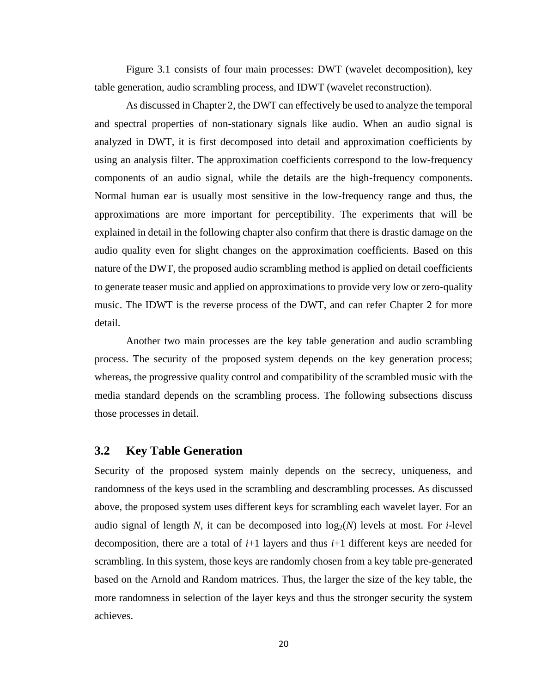Figure 3.1 consists of four main processes: DWT (wavelet decomposition), key table generation, audio scrambling process, and IDWT (wavelet reconstruction).

As discussed in Chapter 2, the DWT can effectively be used to analyze the temporal and spectral properties of non-stationary signals like audio. When an audio signal is analyzed in DWT, it is first decomposed into detail and approximation coefficients by using an analysis filter. The approximation coefficients correspond to the low-frequency components of an audio signal, while the details are the high-frequency components. Normal human ear is usually most sensitive in the low-frequency range and thus, the approximations are more important for perceptibility. The experiments that will be explained in detail in the following chapter also confirm that there is drastic damage on the audio quality even for slight changes on the approximation coefficients. Based on this nature of the DWT, the proposed audio scrambling method is applied on detail coefficients to generate teaser music and applied on approximations to provide very low or zero-quality music. The IDWT is the reverse process of the DWT, and can refer Chapter 2 for more detail.

Another two main processes are the key table generation and audio scrambling process. The security of the proposed system depends on the key generation process; whereas, the progressive quality control and compatibility of the scrambled music with the media standard depends on the scrambling process. The following subsections discuss those processes in detail.

#### <span id="page-30-0"></span>**3.2 Key Table Generation**

Security of the proposed system mainly depends on the secrecy, uniqueness, and randomness of the keys used in the scrambling and descrambling processes. As discussed above, the proposed system uses different keys for scrambling each wavelet layer. For an audio signal of length N, it can be decomposed into  $log_2(N)$  levels at most. For *i*-level decomposition, there are a total of *i*+1 layers and thus *i*+1 different keys are needed for scrambling. In this system, those keys are randomly chosen from a key table pre-generated based on the Arnold and Random matrices. Thus, the larger the size of the key table, the more randomness in selection of the layer keys and thus the stronger security the system achieves.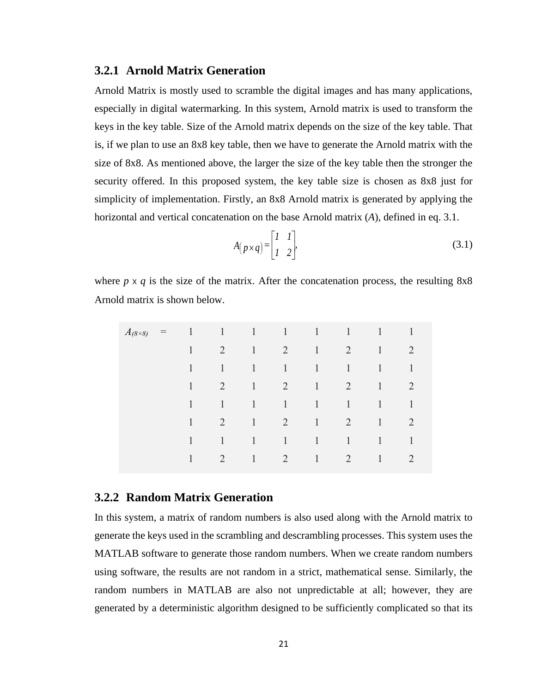#### <span id="page-31-0"></span>**3.2.1 Arnold Matrix Generation**

Arnold Matrix is mostly used to scramble the digital images and has many applications, especially in digital watermarking. In this system, Arnold matrix is used to transform the keys in the key table. Size of the Arnold matrix depends on the size of the key table. That is, if we plan to use an 8x8 key table, then we have to generate the Arnold matrix with the size of 8x8. As mentioned above, the larger the size of the key table then the stronger the security offered. In this proposed system, the key table size is chosen as 8x8 just for simplicity of implementation. Firstly, an 8x8 Arnold matrix is generated by applying the horizontal and vertical concatenation on the base Arnold matrix (*A*), defined in eq. 3.1.

$$
A(p \times q) = \begin{bmatrix} 1 & 1 \\ 1 & 2 \end{bmatrix},\tag{3.1}
$$

where  $p \times q$  is the size of the matrix. After the concatenation process, the resulting  $8x8$ Arnold matrix is shown below.

| $A_{(8\times8)}$ | $\frac{1}{2}$ | $\sim$ 1 | $\langle 1 \rangle$ |                                                    | $1 \quad 1 \quad 1$            |                                | 1                   | $\mathbf{1}$        | 1              |
|------------------|---------------|----------|---------------------|----------------------------------------------------|--------------------------------|--------------------------------|---------------------|---------------------|----------------|
|                  |               | 1        | 2                   | $\left  \right $                                   | $\overline{2}$                 | $\mathbf{1}$                   | 2                   | $\left  \right $    | 2              |
|                  |               | 1        | $\mathbf{1}$        | $\left\langle 1 \right\rangle$                     | $\left  \right $               | $\sim 1$                       | $\overline{1}$      | $\langle 1 \rangle$ | 1              |
|                  |               | 1        | 2                   | $\left  \right $                                   | $\overline{2}$                 | $\left\langle 1 \right\rangle$ | 2                   | $\langle 1 \rangle$ | $\overline{2}$ |
|                  |               | 1        | $\mathbf{1}$        | $\left  \begin{array}{c} 1 \\ \end{array} \right $ | $1 \quad 1$                    |                                | $\overline{1}$      | $\langle 1 \rangle$ | 1              |
|                  |               | 1        | 2                   | $\sqrt{1}$                                         | $\overline{2}$                 | $\left  \right $               | 2                   | $\langle 1 \rangle$ | 2              |
|                  |               | 1        | $\mathbf{1}$        | $\left\langle 1 \right\rangle$                     | $\left\langle 1 \right\rangle$ | $\left\langle 1 \right\rangle$ | $\langle 1 \rangle$ | 1                   | $\mathbf{1}$   |
|                  |               | 1        | 2                   | $\mathbf{1}$                                       | $\overline{2}$                 | $\mathbf{1}$                   | $\overline{2}$      | $\overline{1}$      | 2              |

#### <span id="page-31-1"></span>**3.2.2 Random Matrix Generation**

In this system, a matrix of random numbers is also used along with the Arnold matrix to generate the keys used in the scrambling and descrambling processes. This system uses the MATLAB software to generate those random numbers. When we create random numbers using software, the results are not random in a strict, mathematical sense. Similarly, the random numbers in MATLAB are also not unpredictable at all; however, they are generated by a deterministic algorithm designed to be sufficiently complicated so that its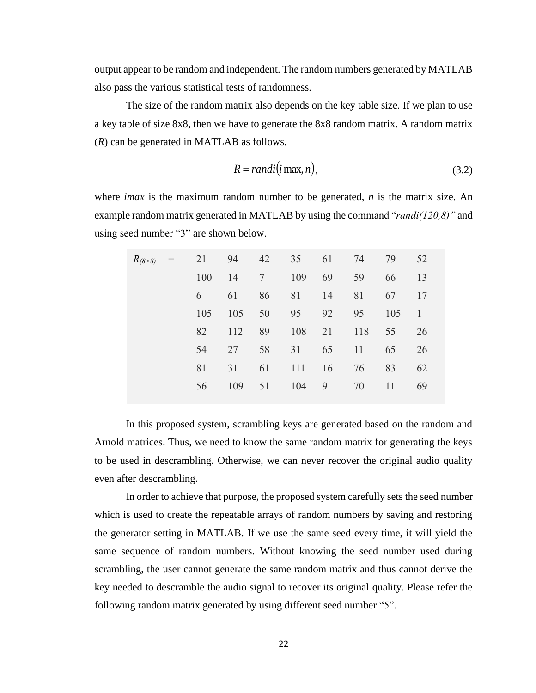output appear to be random and independent. The random numbers generated by MATLAB also pass the various statistical tests of randomness.

The size of the random matrix also depends on the key table size. If we plan to use a key table of size 8x8, then we have to generate the 8x8 random matrix. A random matrix (*R*) can be generated in MATLAB as follows.

$$
R = randi(i\max, n),\tag{3.2}
$$

where *imax* is the maximum random number to be generated, *n* is the matrix size. An example random matrix generated in MATLAB by using the command "*randi(120,8)"* and using seed number "3" are shown below.

| $R_{(8\times8)}$ | $\alpha = \alpha$ |     | 21 94 42 |                 | 35  | 61 | 74  | 79  | 52 |
|------------------|-------------------|-----|----------|-----------------|-----|----|-----|-----|----|
|                  |                   | 100 | 14       | $7\phantom{.0}$ | 109 | 69 | 59  | 66  | 13 |
|                  |                   | 6   | 61       | 86              | 81  | 14 | 81  | 67  | 17 |
|                  |                   | 105 | 105      | 50              | 95  | 92 | 95  | 105 | 1  |
|                  |                   | 82  | 112      | 89              | 108 | 21 | 118 | 55  | 26 |
|                  |                   | 54  | 27       | 58              | 31  | 65 | 11  | 65  | 26 |
|                  |                   | 81  | 31       | 61              | 111 | 16 | 76  | 83  | 62 |
|                  |                   | 56  | 109      | 51              | 104 | 9  | 70  | 11  | 69 |
|                  |                   |     |          |                 |     |    |     |     |    |

In this proposed system, scrambling keys are generated based on the random and Arnold matrices. Thus, we need to know the same random matrix for generating the keys to be used in descrambling. Otherwise, we can never recover the original audio quality even after descrambling.

In order to achieve that purpose, the proposed system carefully sets the seed number which is used to create the repeatable arrays of random numbers by saving and restoring the generator setting in MATLAB. If we use the same seed every time, it will yield the same sequence of random numbers. Without knowing the seed number used during scrambling, the user cannot generate the same random matrix and thus cannot derive the key needed to descramble the audio signal to recover its original quality. Please refer the following random matrix generated by using different seed number "5".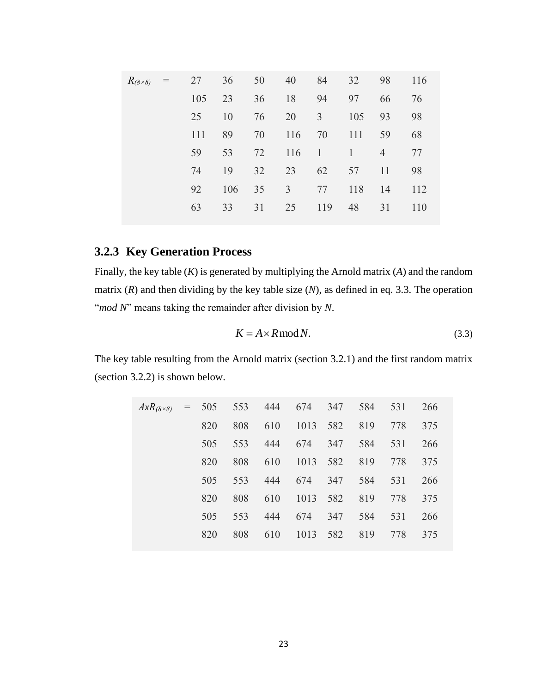| $R_{(8\times8)}$ | $=$ | 27  | 36  | 50 | 40             | 84             | 32                  | 98             | 116 |
|------------------|-----|-----|-----|----|----------------|----------------|---------------------|----------------|-----|
|                  |     | 105 | 23  | 36 | 18             | 94             | 97                  | 66             | 76  |
|                  |     | 25  | 10  | 76 | 20             | $\overline{3}$ | 105                 | 93             | 98  |
|                  |     | 111 | 89  | 70 | 116            | 70             | 111                 | 59             | 68  |
|                  |     | 59  | 53  | 72 | 116            | $\overline{1}$ | $\langle 1 \rangle$ | $\overline{4}$ | 77  |
|                  |     | 74  | 19  | 32 | 23             | 62             | 57                  | 11             | 98  |
|                  |     | 92  | 106 | 35 | $\overline{3}$ | 77             | 118                 | 14             | 112 |
|                  |     | 63  | 33  | 31 | 25             | 119            | 48                  | 31             | 110 |
|                  |     |     |     |    |                |                |                     |                |     |

## <span id="page-33-0"></span>**3.2.3 Key Generation Process**

Finally, the key table (*K*) is generated by multiplying the Arnold matrix (*A*) and the random matrix (*R*) and then dividing by the key table size (*N*), as defined in eq. 3.3. The operation "*mod N*" means taking the remainder after division by *N*.

$$
K = A \times R \operatorname{mod} N. \tag{3.3}
$$

The key table resulting from the Arnold matrix (section 3.2.1) and the first random matrix (section 3.2.2) is shown below.

| $A x R_{(8 \times 8)}$ | $= 505$ | 553 | 444 | 674      | 347 | 584 | 531 | 266 |
|------------------------|---------|-----|-----|----------|-----|-----|-----|-----|
|                        | 820     | 808 | 610 | 1013 582 |     | 819 | 778 | 375 |
|                        | 505     | 553 | 444 | 674      | 347 | 584 | 531 | 266 |
|                        | 820     | 808 | 610 | 1013 582 |     | 819 | 778 | 375 |
|                        | 505     | 553 | 444 | 674      | 347 | 584 | 531 | 266 |
|                        | 820     | 808 | 610 | 1013 582 |     | 819 | 778 | 375 |
|                        | 505     | 553 | 444 | 674      | 347 | 584 | 531 | 266 |
|                        | 820     | 808 | 610 | 1013     | 582 | 819 | 778 | 375 |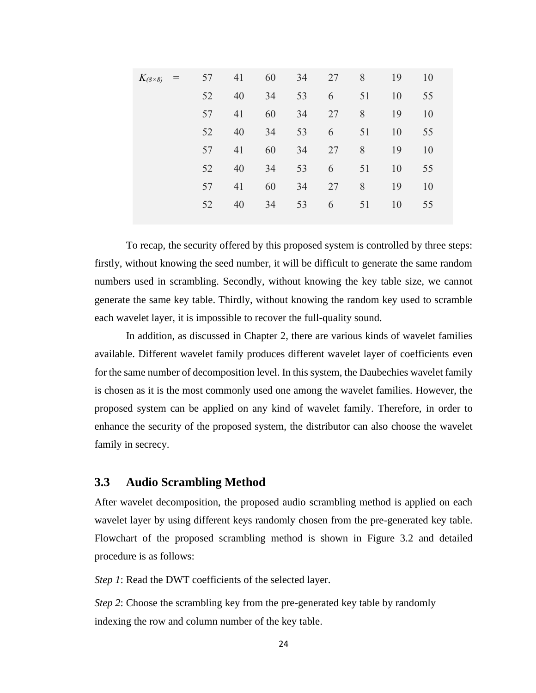| $K_{(8\times 8)}$<br>$\equiv$ | 57 | 41 | 60 | 34 | 27 | 8  | 19 | 10 |
|-------------------------------|----|----|----|----|----|----|----|----|
|                               | 52 | 40 | 34 | 53 | 6  | 51 | 10 | 55 |
|                               | 57 | 41 | 60 | 34 | 27 | 8  | 19 | 10 |
|                               | 52 | 40 | 34 | 53 | 6  | 51 | 10 | 55 |
|                               | 57 | 41 | 60 | 34 | 27 | 8  | 19 | 10 |
|                               | 52 | 40 | 34 | 53 | 6  | 51 | 10 | 55 |
|                               | 57 | 41 | 60 | 34 | 27 | 8  | 19 | 10 |
|                               | 52 | 40 | 34 | 53 | 6  | 51 | 10 | 55 |

To recap, the security offered by this proposed system is controlled by three steps: firstly, without knowing the seed number, it will be difficult to generate the same random numbers used in scrambling. Secondly, without knowing the key table size, we cannot generate the same key table. Thirdly, without knowing the random key used to scramble each wavelet layer, it is impossible to recover the full-quality sound.

In addition, as discussed in Chapter 2, there are various kinds of wavelet families available. Different wavelet family produces different wavelet layer of coefficients even for the same number of decomposition level. In this system, the Daubechies wavelet family is chosen as it is the most commonly used one among the wavelet families. However, the proposed system can be applied on any kind of wavelet family. Therefore, in order to enhance the security of the proposed system, the distributor can also choose the wavelet family in secrecy.

#### <span id="page-34-0"></span>**3.3 Audio Scrambling Method**

After wavelet decomposition, the proposed audio scrambling method is applied on each wavelet layer by using different keys randomly chosen from the pre-generated key table. Flowchart of the proposed scrambling method is shown in Figure 3.2 and detailed procedure is as follows:

*Step 1*: Read the DWT coefficients of the selected layer.

*Step 2*: Choose the scrambling key from the pre-generated key table by randomly indexing the row and column number of the key table.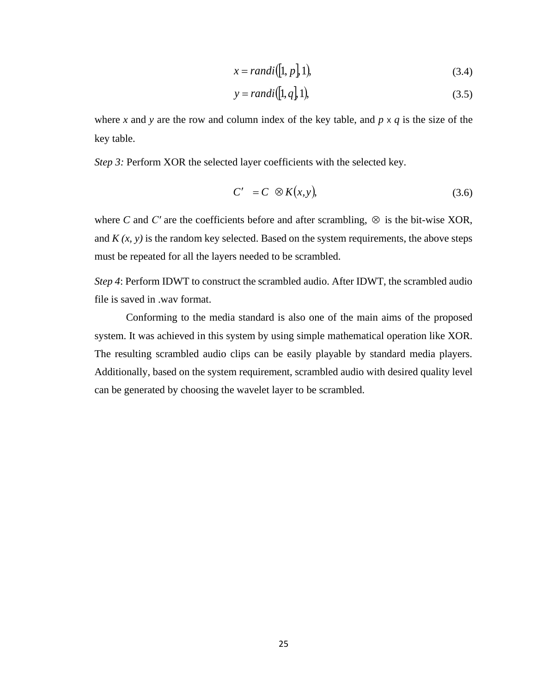$$
x = randi([1, p], 1), \tag{3.4}
$$

$$
y = randi([1, q], 1), \tag{3.5}
$$

where *x* and *y* are the row and column index of the key table, and  $p \times q$  is the size of the key table.

*Step 3:* Perform XOR the selected layer coefficients with the selected key.

$$
C' = C \otimes K(x, y), \tag{3.6}
$$

where C and C' are the coefficients before and after scrambling,  $\otimes$  is the bit-wise XOR, and  $K(x, y)$  is the random key selected. Based on the system requirements, the above steps must be repeated for all the layers needed to be scrambled.

*Step 4*: Perform IDWT to construct the scrambled audio. After IDWT, the scrambled audio file is saved in .wav format.

Conforming to the media standard is also one of the main aims of the proposed system. It was achieved in this system by using simple mathematical operation like XOR. The resulting scrambled audio clips can be easily playable by standard media players. Additionally, based on the system requirement, scrambled audio with desired quality level can be generated by choosing the wavelet layer to be scrambled.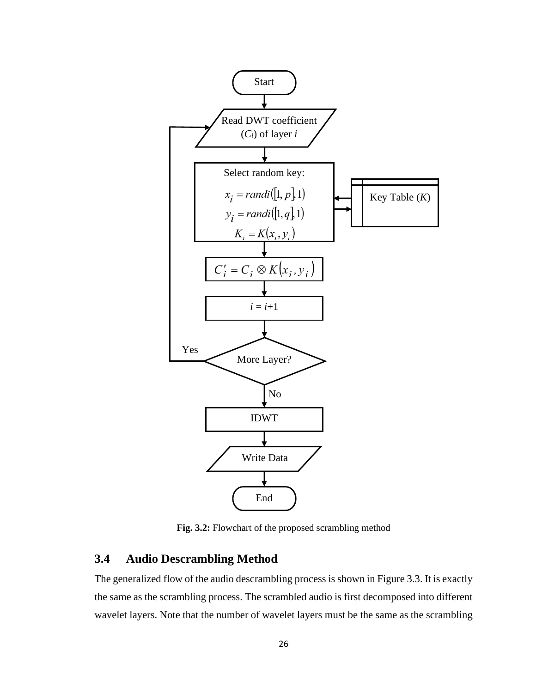

**Fig. 3.2:** Flowchart of the proposed scrambling method

#### <span id="page-36-0"></span>**3.4 Audio Descrambling Method**

The generalized flow of the audio descrambling process is shown in Figure 3.3. It is exactly the same as the scrambling process. The scrambled audio is first decomposed into different wavelet layers. Note that the number of wavelet layers must be the same as the scrambling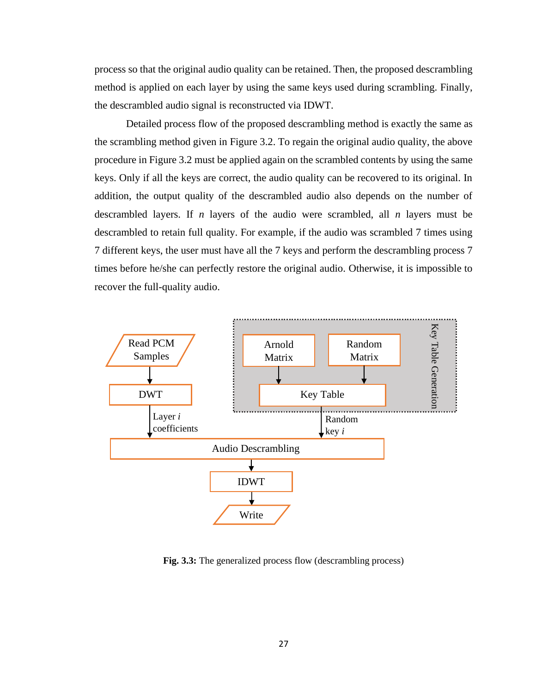process so that the original audio quality can be retained. Then, the proposed descrambling method is applied on each layer by using the same keys used during scrambling. Finally, the descrambled audio signal is reconstructed via IDWT.

Detailed process flow of the proposed descrambling method is exactly the same as the scrambling method given in Figure 3.2. To regain the original audio quality, the above procedure in Figure 3.2 must be applied again on the scrambled contents by using the same keys. Only if all the keys are correct, the audio quality can be recovered to its original. In addition, the output quality of the descrambled audio also depends on the number of descrambled layers. If *n* layers of the audio were scrambled, all *n* layers must be descrambled to retain full quality. For example, if the audio was scrambled 7 times using 7 different keys, the user must have all the 7 keys and perform the descrambling process 7 times before he/she can perfectly restore the original audio. Otherwise, it is impossible to recover the full-quality audio.



**Fig. 3.3:** The generalized process flow (descrambling process)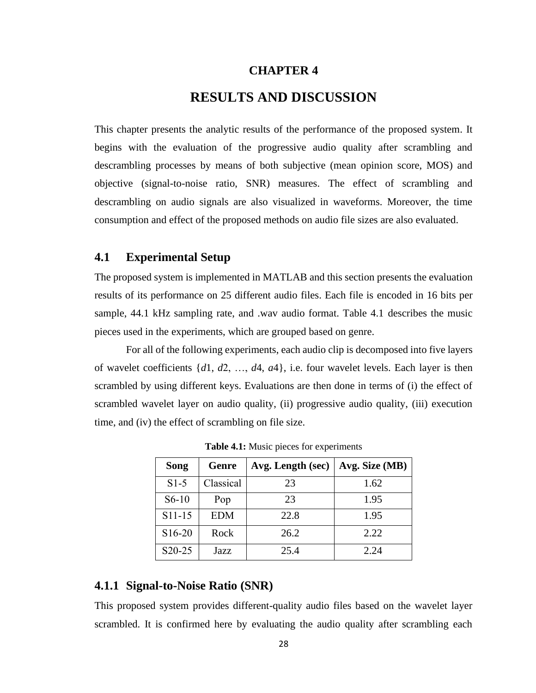#### **CHAPTER 4**

## **RESULTS AND DISCUSSION**

<span id="page-38-0"></span>This chapter presents the analytic results of the performance of the proposed system. It begins with the evaluation of the progressive audio quality after scrambling and descrambling processes by means of both subjective (mean opinion score, MOS) and objective (signal-to-noise ratio, SNR) measures. The effect of scrambling and descrambling on audio signals are also visualized in waveforms. Moreover, the time consumption and effect of the proposed methods on audio file sizes are also evaluated.

#### <span id="page-38-1"></span>**4.1 Experimental Setup**

The proposed system is implemented in MATLAB and this section presents the evaluation results of its performance on 25 different audio files. Each file is encoded in 16 bits per sample, 44.1 kHz sampling rate, and .wav audio format. Table 4.1 describes the music pieces used in the experiments, which are grouped based on genre.

For all of the following experiments, each audio clip is decomposed into five layers of wavelet coefficients {*d*1, *d*2, …, *d*4, *a*4}, i.e. four wavelet levels. Each layer is then scrambled by using different keys. Evaluations are then done in terms of (i) the effect of scrambled wavelet layer on audio quality, (ii) progressive audio quality, (iii) execution time, and (iv) the effect of scrambling on file size.

| Song    | Genre      | Avg. Length (sec) | Avg. Size $(MB)$ |
|---------|------------|-------------------|------------------|
| $S1-5$  | Classical  | 23                | 1.62             |
| $S6-10$ | Pop        | 23                | 1.95             |
| S11-15  | <b>EDM</b> | 22.8              | 1.95             |
| S16-20  | Rock       | 26.2              | 2.22             |
| S20-25  | Jazz       | 25.4              | 2.24             |

**Table 4.1:** Music pieces for experiments

#### <span id="page-38-2"></span>**4.1.1 Signal-to-Noise Ratio (SNR)**

This proposed system provides different-quality audio files based on the wavelet layer scrambled. It is confirmed here by evaluating the audio quality after scrambling each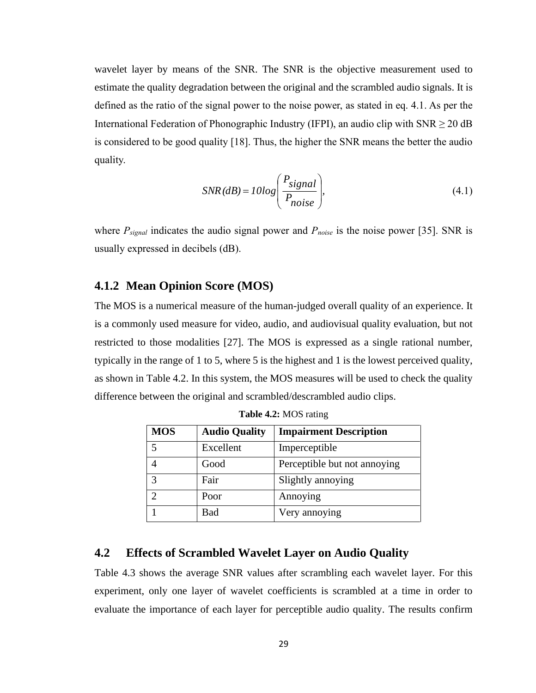wavelet layer by means of the SNR. The SNR is the objective measurement used to estimate the quality degradation between the original and the scrambled audio signals. It is defined as the ratio of the signal power to the noise power, as stated in eq. 4.1. As per the International Federation of Phonographic Industry (IFPI), an audio clip with  $SNR \ge 20$  dB is considered to be good quality [18]. Thus, the higher the SNR means the better the audio quality.

$$
SNR(dB) = 10log\left(\frac{P_{signal}}{P_{noise}}\right),\tag{4.1}
$$

where *Psignal* indicates the audio signal power and *Pnoise* is the noise power [35]. SNR is usually expressed in decibels (dB).

#### <span id="page-39-0"></span>**4.1.2 Mean Opinion Score (MOS)**

The MOS is a numerical measure of the human-judged overall quality of an experience. It is a commonly used measure for video, audio, and audiovisual quality evaluation, but not restricted to those modalities [27]. The MOS is expressed as a single rational number, typically in the range of 1 to 5, where 5 is the highest and 1 is the lowest perceived quality, as shown in Table 4.2. In this system, the MOS measures will be used to check the quality difference between the original and scrambled/descrambled audio clips.

| <b>MOS</b> | <b>Audio Quality</b> | <b>Impairment Description</b> |
|------------|----------------------|-------------------------------|
|            | Excellent            | Imperceptible                 |
|            | Good                 | Perceptible but not annoying  |
| 3          | Fair                 | Slightly annoying             |
| ◠          | Poor                 | Annoying                      |
|            | Bad                  | Very annoying                 |

**Table 4.2:** MOS rating

#### <span id="page-39-1"></span>**4.2 Effects of Scrambled Wavelet Layer on Audio Quality**

Table 4.3 shows the average SNR values after scrambling each wavelet layer. For this experiment, only one layer of wavelet coefficients is scrambled at a time in order to evaluate the importance of each layer for perceptible audio quality. The results confirm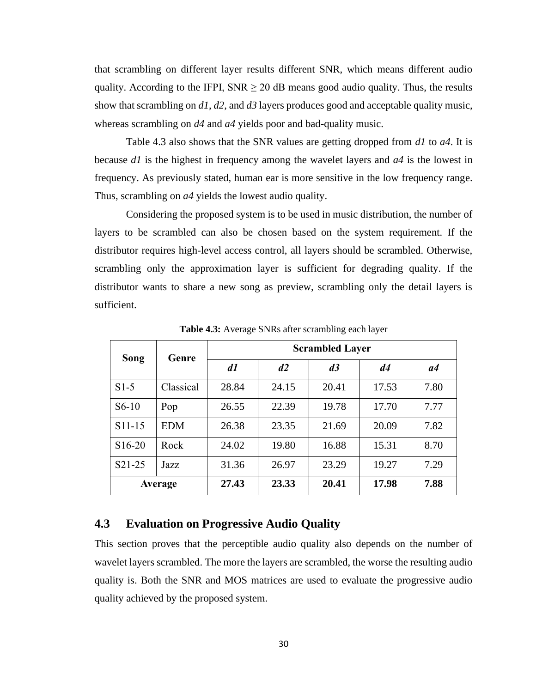that scrambling on different layer results different SNR, which means different audio quality. According to the IFPI,  $SNR \geq 20$  dB means good audio quality. Thus, the results show that scrambling on *d1*, *d2*, and *d3* layers produces good and acceptable quality music, whereas scrambling on *d4* and *a4* yields poor and bad-quality music.

Table 4.3 also shows that the SNR values are getting dropped from *d1* to *a4*. It is because *d1* is the highest in frequency among the wavelet layers and *a4* is the lowest in frequency. As previously stated, human ear is more sensitive in the low frequency range. Thus, scrambling on *a4* yields the lowest audio quality.

Considering the proposed system is to be used in music distribution, the number of layers to be scrambled can also be chosen based on the system requirement. If the distributor requires high-level access control, all layers should be scrambled. Otherwise, scrambling only the approximation layer is sufficient for degrading quality. If the distributor wants to share a new song as preview, scrambling only the detail layers is sufficient.

| Song                | Genre      | <b>Scrambled Layer</b> |       |       |       |      |  |
|---------------------|------------|------------------------|-------|-------|-------|------|--|
|                     |            | d1                     | d2    | d3    | d4    | a4   |  |
| $S1-5$              | Classical  | 28.84                  | 24.15 | 20.41 | 17.53 | 7.80 |  |
| $S6-10$             | Pop        | 26.55                  | 22.39 | 19.78 | 17.70 | 7.77 |  |
| S11-15              | <b>EDM</b> | 26.38                  | 23.35 | 21.69 | 20.09 | 7.82 |  |
| S <sub>16</sub> -20 | Rock       | 24.02                  | 19.80 | 16.88 | 15.31 | 8.70 |  |
| S <sub>2</sub> 1-25 | Jazz       | 31.36                  | 26.97 | 23.29 | 19.27 | 7.29 |  |
|                     | Average    | 27.43                  | 23.33 | 20.41 | 17.98 | 7.88 |  |

**Table 4.3:** Average SNRs after scrambling each layer

#### <span id="page-40-0"></span>**4.3 Evaluation on Progressive Audio Quality**

This section proves that the perceptible audio quality also depends on the number of wavelet layers scrambled. The more the layers are scrambled, the worse the resulting audio quality is. Both the SNR and MOS matrices are used to evaluate the progressive audio quality achieved by the proposed system.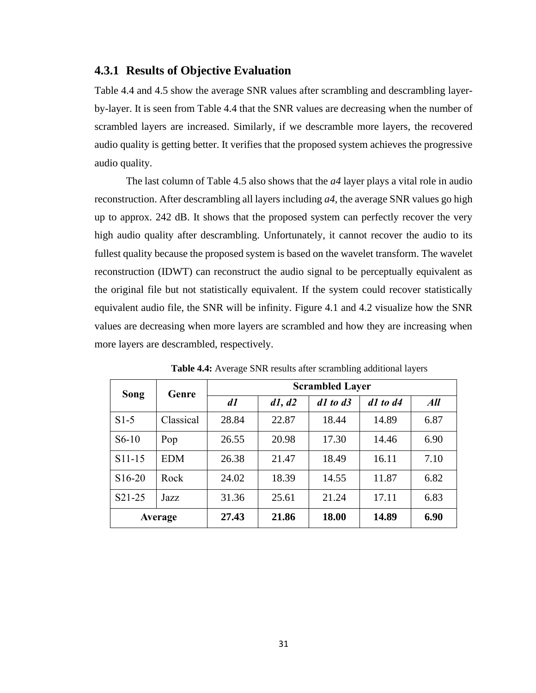#### <span id="page-41-0"></span>**4.3.1 Results of Objective Evaluation**

Table 4.4 and 4.5 show the average SNR values after scrambling and descrambling layerby-layer. It is seen from Table 4.4 that the SNR values are decreasing when the number of scrambled layers are increased. Similarly, if we descramble more layers, the recovered audio quality is getting better. It verifies that the proposed system achieves the progressive audio quality.

The last column of Table 4.5 also shows that the *a4* layer plays a vital role in audio reconstruction. After descrambling all layers including *a4*, the average SNR values go high up to approx. 242 dB. It shows that the proposed system can perfectly recover the very high audio quality after descrambling. Unfortunately, it cannot recover the audio to its fullest quality because the proposed system is based on the wavelet transform. The wavelet reconstruction (IDWT) can reconstruct the audio signal to be perceptually equivalent as the original file but not statistically equivalent. If the system could recover statistically equivalent audio file, the SNR will be infinity. Figure 4.1 and 4.2 visualize how the SNR values are decreasing when more layers are scrambled and how they are increasing when more layers are descrambled, respectively.

| Song                | Genre      | <b>Scrambled Layer</b> |        |              |              |      |  |
|---------------------|------------|------------------------|--------|--------------|--------------|------|--|
|                     |            | d1                     | d1, d2 | $d1$ to $d3$ | $d1$ to $d4$ | All  |  |
| $S1-5$              | Classical  | 28.84                  | 22.87  | 18.44        | 14.89        | 6.87 |  |
| $S6-10$             | Pop        | 26.55                  | 20.98  | 17.30        | 14.46        | 6.90 |  |
| $S11-15$            | <b>EDM</b> | 26.38                  | 21.47  | 18.49        | 16.11        | 7.10 |  |
| S <sub>16</sub> -20 | Rock       | 24.02                  | 18.39  | 14.55        | 11.87        | 6.82 |  |
| S21-25              | Jazz       | 31.36                  | 25.61  | 21.24        | 17.11        | 6.83 |  |
| Average             |            | 27.43                  | 21.86  | 18.00        | 14.89        | 6.90 |  |

**Table 4.4:** Average SNR results after scrambling additional layers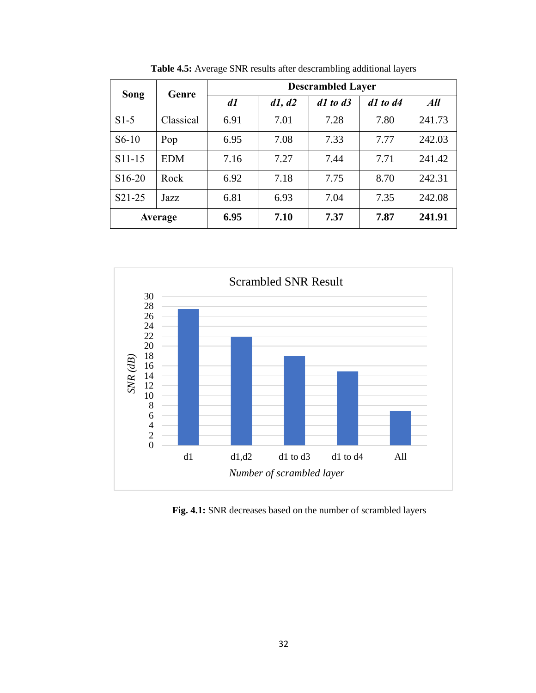| Song                | Genre      | <b>Descrambled Layer</b> |        |              |              |        |  |
|---------------------|------------|--------------------------|--------|--------------|--------------|--------|--|
|                     |            | d1                       | d1, d2 | $d1$ to $d3$ | $d1$ to $d4$ | All    |  |
| $S1-5$              | Classical  | 6.91                     | 7.01   | 7.28         | 7.80         | 241.73 |  |
| $S6-10$             | Pop        | 6.95                     | 7.08   | 7.33         | 7.77         | 242.03 |  |
| S11-15              | <b>EDM</b> | 7.16                     | 7.27   | 7.44         | 7.71         | 241.42 |  |
| S <sub>16</sub> -20 | Rock       | 6.92                     | 7.18   | 7.75         | 8.70         | 242.31 |  |
| S21-25              | Jazz       | 6.81                     | 6.93   | 7.04         | 7.35         | 242.08 |  |
| Average             |            | 6.95                     | 7.10   | 7.37         | 7.87         | 241.91 |  |

**Table 4.5:** Average SNR results after descrambling additional layers



**Fig. 4.1:** SNR decreases based on the number of scrambled layers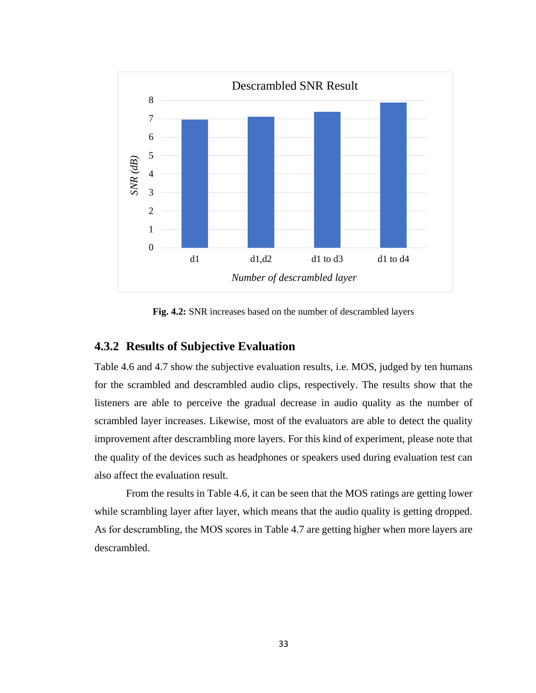

**Fig. 4.2:** SNR increases based on the number of descrambled layers

#### <span id="page-43-0"></span>**4.3.2 Results of Subjective Evaluation**

Table 4.6 and 4.7 show the subjective evaluation results, i.e. MOS, judged by ten humans for the scrambled and descrambled audio clips, respectively. The results show that the listeners are able to perceive the gradual decrease in audio quality as the number of scrambled layer increases. Likewise, most of the evaluators are able to detect the quality improvement after descrambling more layers. For this kind of experiment, please note that the quality of the devices such as headphones or speakers used during evaluation test can also affect the evaluation result.

From the results in Table 4.6, it can be seen that the MOS ratings are getting lower while scrambling layer after layer, which means that the audio quality is getting dropped. As for descrambling, the MOS scores in Table 4.7 are getting higher when more layers are descrambled.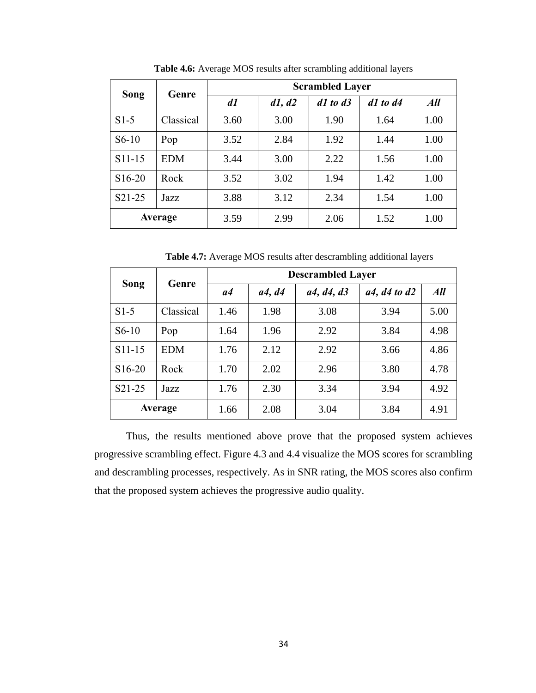| Song                | Genre      | <b>Scrambled Layer</b> |        |              |              |      |  |
|---------------------|------------|------------------------|--------|--------------|--------------|------|--|
|                     |            | d1                     | d1, d2 | $d1$ to $d3$ | $d1$ to $d4$ | All  |  |
| $S1-5$              | Classical  | 3.60                   | 3.00   | 1.90         | 1.64         | 1.00 |  |
| $S6-10$             | Pop        | 3.52                   | 2.84   | 1.92         | 1.44         | 1.00 |  |
| $S11-15$            | <b>EDM</b> | 3.44                   | 3.00   | 2.22         | 1.56         | 1.00 |  |
| S <sub>16</sub> -20 | Rock       | 3.52                   | 3.02   | 1.94         | 1.42         | 1.00 |  |
| S <sub>2</sub> 1-25 | Jazz       | 3.88                   | 3.12   | 2.34         | 1.54         | 1.00 |  |
| Average             |            | 3.59                   | 2.99   | 2.06         | 1.52         | 1.00 |  |

**Table 4.6:** Average MOS results after scrambling additional layers

**Table 4.7:** Average MOS results after descrambling additional layers

| Song                | Genre      | <b>Descrambled Layer</b> |                       |            |                  |      |  |
|---------------------|------------|--------------------------|-----------------------|------------|------------------|------|--|
|                     |            | a4                       | <i>a4</i> , <i>d4</i> | a4, d4, d3 | $a4, d4$ to $d2$ | All  |  |
| $S1-5$              | Classical  | 1.46                     | 1.98                  | 3.08       | 3.94             | 5.00 |  |
| $S6-10$             | Pop        | 1.64                     | 1.96                  | 2.92       | 3.84             | 4.98 |  |
| S11-15              | <b>EDM</b> | 1.76                     | 2.12                  | 2.92       | 3.66             | 4.86 |  |
| S <sub>16</sub> -20 | Rock       | 1.70                     | 2.02                  | 2.96       | 3.80             | 4.78 |  |
| S <sub>2</sub> 1-25 | Jazz       | 1.76                     | 2.30                  | 3.34       | 3.94             | 4.92 |  |
| <b>Average</b>      |            | 1.66                     | 2.08                  | 3.04       | 3.84             | 4.91 |  |

Thus, the results mentioned above prove that the proposed system achieves progressive scrambling effect. Figure 4.3 and 4.4 visualize the MOS scores for scrambling and descrambling processes, respectively. As in SNR rating, the MOS scores also confirm that the proposed system achieves the progressive audio quality.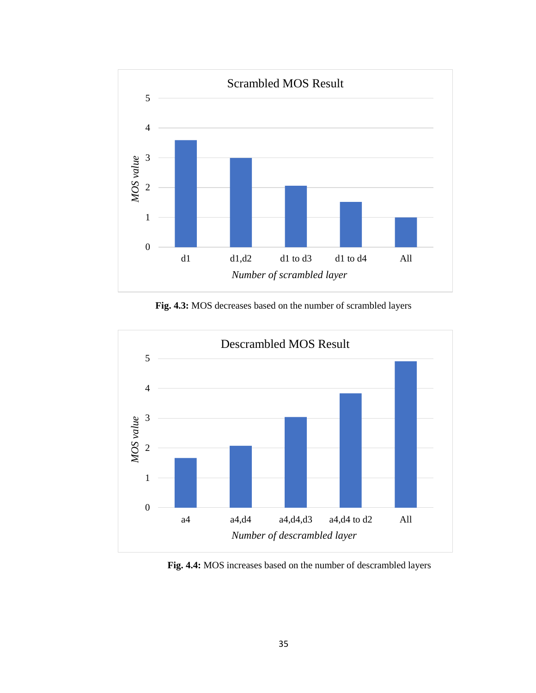

**Fig. 4.3:** MOS decreases based on the number of scrambled layers



**Fig. 4.4:** MOS increases based on the number of descrambled layers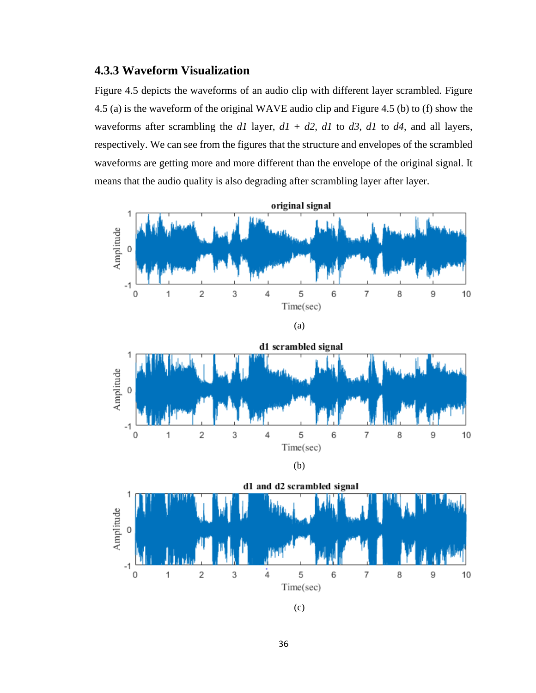## <span id="page-46-0"></span>**4.3.3 Waveform Visualization**

Figure 4.5 depicts the waveforms of an audio clip with different layer scrambled. Figure 4.5 (a) is the waveform of the original WAVE audio clip and Figure 4.5 (b) to (f) show the waveforms after scrambling the *d1* layer,  $d1 + d2$ ,  $d1$  to  $d3$ ,  $d1$  to  $d4$ , and all layers, respectively. We can see from the figures that the structure and envelopes of the scrambled waveforms are getting more and more different than the envelope of the original signal. It means that the audio quality is also degrading after scrambling layer after layer.

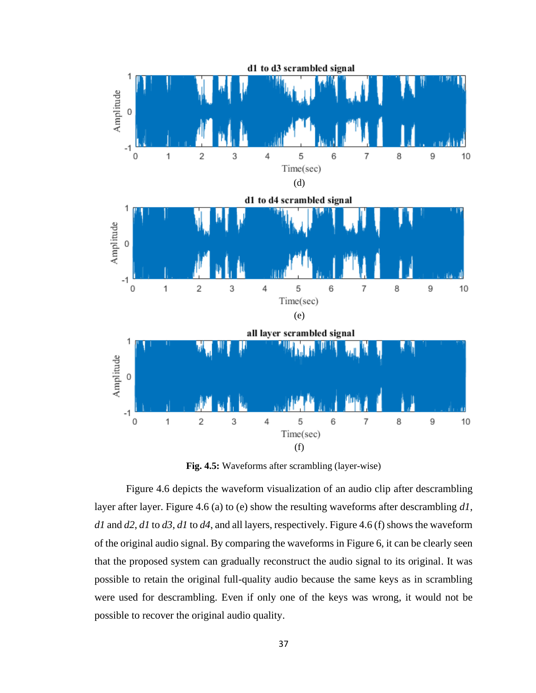

**Fig. 4.5:** Waveforms after scrambling (layer-wise)

Figure 4.6 depicts the waveform visualization of an audio clip after descrambling layer after layer. Figure 4.6 (a) to (e) show the resulting waveforms after descrambling *d1*, *d1* and *d2*, *d1* to *d3*, *d1* to *d4*, and all layers, respectively. Figure 4.6 (f) shows the waveform of the original audio signal. By comparing the waveforms in Figure 6, it can be clearly seen that the proposed system can gradually reconstruct the audio signal to its original. It was possible to retain the original full-quality audio because the same keys as in scrambling were used for descrambling. Even if only one of the keys was wrong, it would not be possible to recover the original audio quality.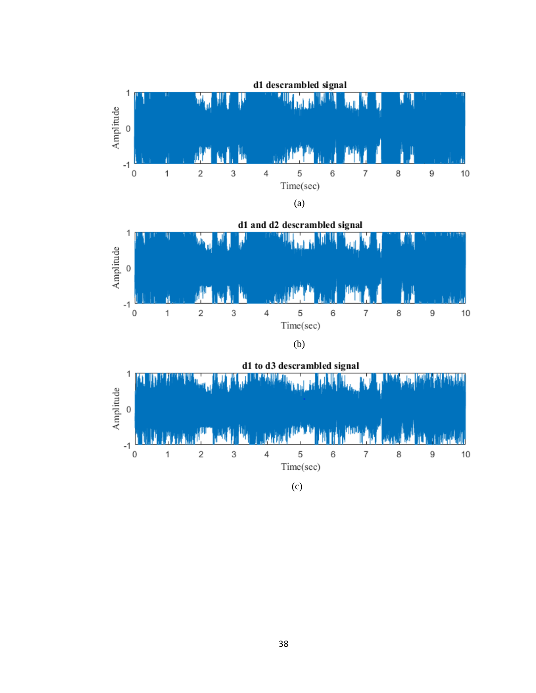

(c)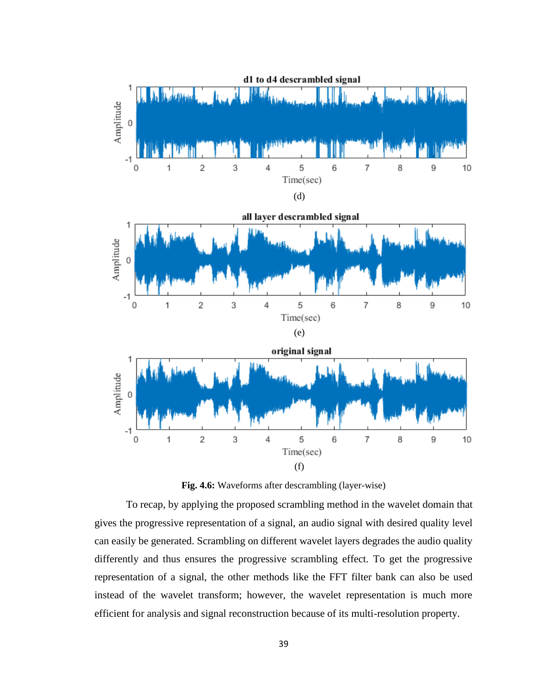

**Fig. 4.6:** Waveforms after descrambling (layer-wise)

To recap, by applying the proposed scrambling method in the wavelet domain that gives the progressive representation of a signal, an audio signal with desired quality level can easily be generated. Scrambling on different wavelet layers degrades the audio quality differently and thus ensures the progressive scrambling effect. To get the progressive representation of a signal, the other methods like the FFT filter bank can also be used instead of the wavelet transform; however, the wavelet representation is much more efficient for analysis and signal reconstruction because of its multi-resolution property.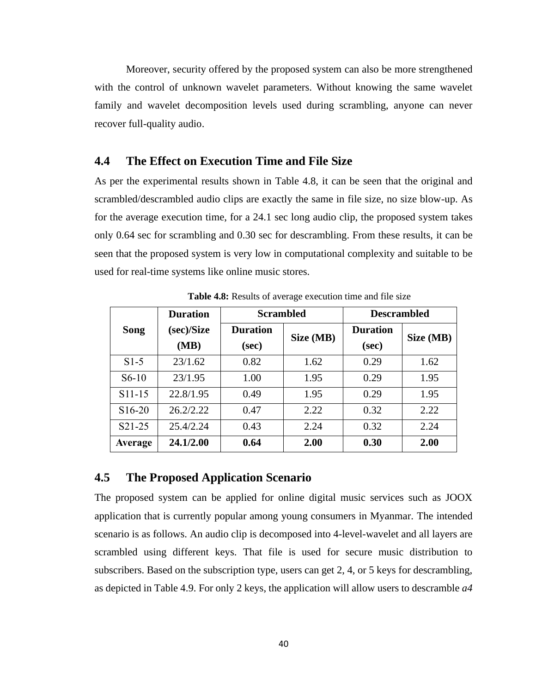Moreover, security offered by the proposed system can also be more strengthened with the control of unknown wavelet parameters. Without knowing the same wavelet family and wavelet decomposition levels used during scrambling, anyone can never recover full-quality audio.

#### <span id="page-50-0"></span>**4.4 The Effect on Execution Time and File Size**

As per the experimental results shown in Table 4.8, it can be seen that the original and scrambled/descrambled audio clips are exactly the same in file size, no size blow-up. As for the average execution time, for a 24.1 sec long audio clip, the proposed system takes only 0.64 sec for scrambling and 0.30 sec for descrambling. From these results, it can be seen that the proposed system is very low in computational complexity and suitable to be used for real-time systems like online music stores.

|                     | <b>Duration</b>    |                          | <b>Scrambled</b> | <b>Descrambled</b>       |           |
|---------------------|--------------------|--------------------------|------------------|--------------------------|-----------|
| Song                | (sec)/Size<br>(MB) | <b>Duration</b><br>(sec) | Size (MB)        | <b>Duration</b><br>(sec) | Size (MB) |
| $S1-5$              | 23/1.62            | 0.82                     | 1.62             | 0.29                     | 1.62      |
| $S6-10$             | 23/1.95            | 1.00                     | 1.95             | 0.29                     | 1.95      |
| S <sub>11</sub> -15 | 22.8/1.95          | 0.49                     | 1.95             | 0.29                     | 1.95      |
| S <sub>16</sub> -20 | 26.2/2.22          | 0.47                     | 2.22             | 0.32                     | 2.22      |
| $S21-25$            | 25.4/2.24          | 0.43                     | 2.24             | 0.32                     | 2.24      |
| Average             | 24.1/2.00          | 0.64                     | 2.00             | 0.30                     | 2.00      |

**Table 4.8:** Results of average execution time and file size

#### <span id="page-50-1"></span>**4.5 The Proposed Application Scenario**

The proposed system can be applied for online digital music services such as JOOX application that is currently popular among young consumers in Myanmar. The intended scenario is as follows. An audio clip is decomposed into 4-level-wavelet and all layers are scrambled using different keys. That file is used for secure music distribution to subscribers. Based on the subscription type, users can get 2, 4, or 5 keys for descrambling, as depicted in Table 4.9. For only 2 keys, the application will allow users to descramble *a4*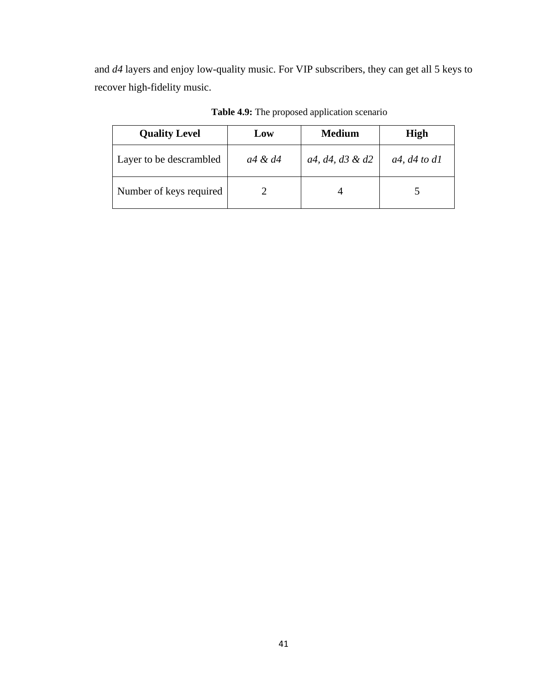and *d4* layers and enjoy low-quality music. For VIP subscribers, they can get all 5 keys to recover high-fidelity music.

| <b>Quality Level</b>    | Low     | <b>Medium</b>   | <b>High</b>    |
|-------------------------|---------|-----------------|----------------|
| Layer to be descrambled | a4 & d4 | a4, d4, d3 & d2 | $a4, d4$ to dl |
| Number of keys required |         |                 |                |

**Table 4.9:** The proposed application scenario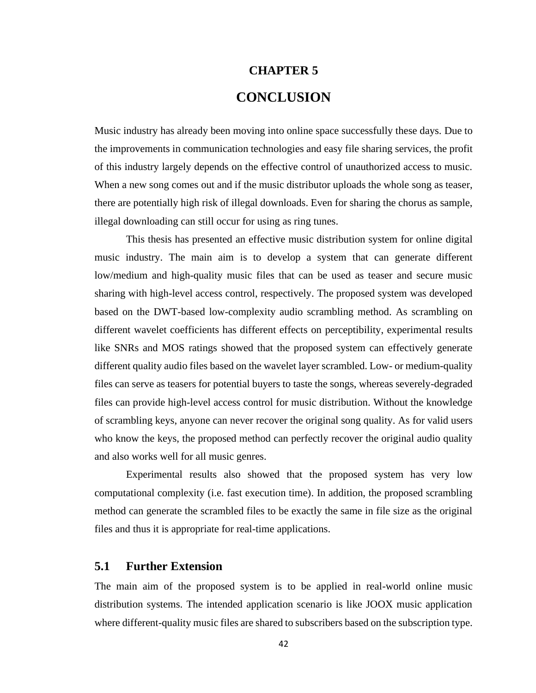# **CHAPTER 5 CONCLUSION**

<span id="page-52-0"></span>Music industry has already been moving into online space successfully these days. Due to the improvements in communication technologies and easy file sharing services, the profit of this industry largely depends on the effective control of unauthorized access to music. When a new song comes out and if the music distributor uploads the whole song as teaser, there are potentially high risk of illegal downloads. Even for sharing the chorus as sample, illegal downloading can still occur for using as ring tunes.

This thesis has presented an effective music distribution system for online digital music industry. The main aim is to develop a system that can generate different low/medium and high-quality music files that can be used as teaser and secure music sharing with high-level access control, respectively. The proposed system was developed based on the DWT-based low-complexity audio scrambling method. As scrambling on different wavelet coefficients has different effects on perceptibility, experimental results like SNRs and MOS ratings showed that the proposed system can effectively generate different quality audio files based on the wavelet layer scrambled. Low- or medium-quality files can serve as teasers for potential buyers to taste the songs, whereas severely-degraded files can provide high-level access control for music distribution. Without the knowledge of scrambling keys, anyone can never recover the original song quality. As for valid users who know the keys, the proposed method can perfectly recover the original audio quality and also works well for all music genres.

Experimental results also showed that the proposed system has very low computational complexity (i.e. fast execution time). In addition, the proposed scrambling method can generate the scrambled files to be exactly the same in file size as the original files and thus it is appropriate for real-time applications.

#### <span id="page-52-1"></span>**5.1 Further Extension**

The main aim of the proposed system is to be applied in real-world online music distribution systems. The intended application scenario is like JOOX music application where different-quality music files are shared to subscribers based on the subscription type.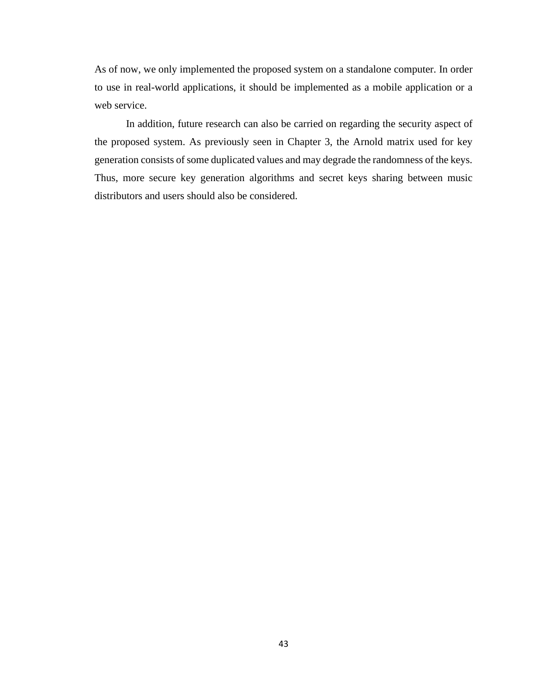As of now, we only implemented the proposed system on a standalone computer. In order to use in real-world applications, it should be implemented as a mobile application or a web service.

In addition, future research can also be carried on regarding the security aspect of the proposed system. As previously seen in Chapter 3, the Arnold matrix used for key generation consists of some duplicated values and may degrade the randomness of the keys. Thus, more secure key generation algorithms and secret keys sharing between music distributors and users should also be considered.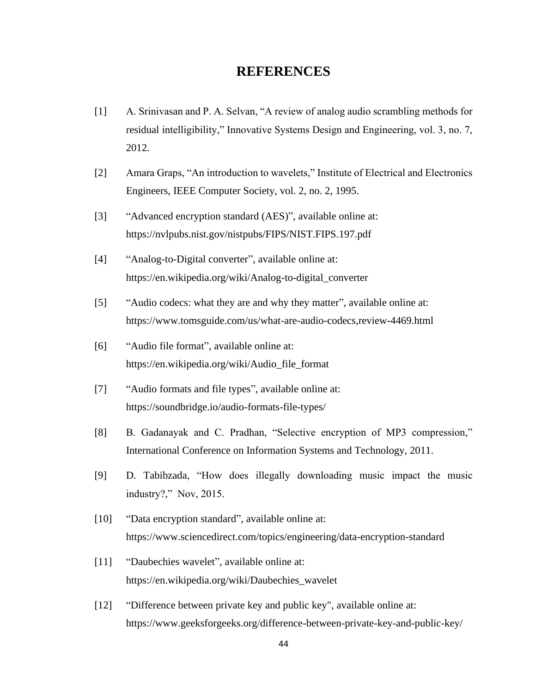## **REFERENCES**

- <span id="page-54-0"></span>[1] A. Srinivasan and P. A. Selvan, "A review of analog audio scrambling methods for residual intelligibility," Innovative Systems Design and Engineering, vol. 3, no. 7, 2012.
- [2] Amara Graps, "An introduction to wavelets," Institute of Electrical and Electronics Engineers, IEEE Computer Society, vol. 2, no. 2, 1995.
- [3] "Advanced encryption standard (AES)", available online at: https://nvlpubs.nist.gov/nistpubs/FIPS/NIST.FIPS.197.pdf
- [4] "Analog-to-Digital converter", available online at: https://en.wikipedia.org/wiki/Analog-to-digital\_converter
- [5] "Audio codecs: what they are and why they matter", available online at: https://www.tomsguide.com/us/what-are-audio-codecs,review-4469.html
- [6] "Audio file format", available online at: https://en.wikipedia.org/wiki/Audio\_file\_format
- [7] "Audio formats and file types", available online at: https://soundbridge.io/audio-formats-file-types/
- [8] B. Gadanayak and C. Pradhan, "Selective encryption of MP3 compression," International Conference on Information Systems and Technology, 2011.
- [9] D. Tabibzada, "How does illegally downloading music impact the music industry?," Nov, 2015.
- [10] "Data encryption standard", available online at: https://www.sciencedirect.com/topics/engineering/data-encryption-standard
- [11] "Daubechies wavelet", available online at: https://en.wikipedia.org/wiki/Daubechies\_wavelet
- [12] "Difference between private key and public key", available online at: https://www.geeksforgeeks.org/difference-between-private-key-and-public-key/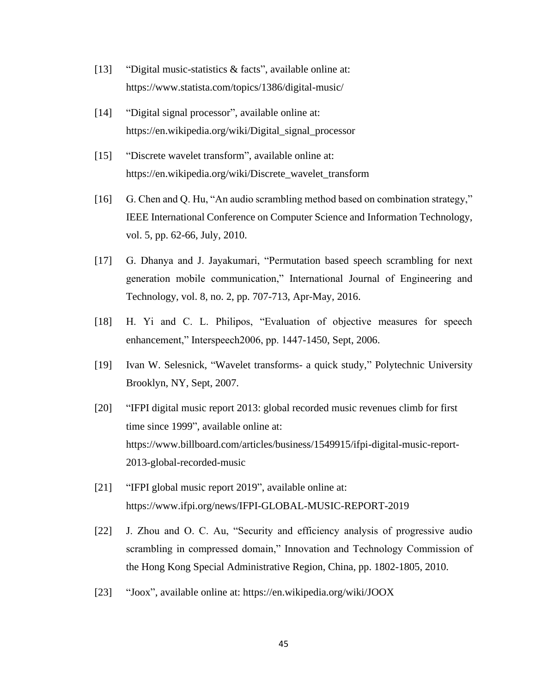- [13] "Digital music-statistics & facts", available online at: https://www.statista.com/topics/1386/digital-music/
- [14] "Digital signal processor", available online at: https://en.wikipedia.org/wiki/Digital\_signal\_processor
- [15] "Discrete wavelet transform", available online at: https://en.wikipedia.org/wiki/Discrete\_wavelet\_transform
- [16] G. Chen and Q. Hu, "An audio scrambling method based on combination strategy," IEEE International Conference on Computer Science and Information Technology, vol. 5, pp. 62-66, July, 2010.
- [17] G. Dhanya and J. Jayakumari, "Permutation based speech scrambling for next generation mobile communication," International Journal of Engineering and Technology, vol. 8, no. 2, pp. 707-713, Apr-May, 2016.
- [18] H. Yi and C. L. Philipos, "Evaluation of objective measures for speech enhancement," Interspeech2006, pp. 1447-1450, Sept, 2006.
- [19] Ivan W. Selesnick, "Wavelet transforms- a quick study," Polytechnic University Brooklyn, NY, Sept, 2007.
- [20] "IFPI digital music report 2013: global recorded music revenues climb for first time since 1999", available online at: https://www.billboard.com/articles/business/1549915/ifpi-digital-music-report-2013-global-recorded-music
- [21] "IFPI global music report 2019", available online at: https://www.ifpi.org/news/IFPI-GLOBAL-MUSIC-REPORT-2019
- [22] J. Zhou and O. C. Au, "Security and efficiency analysis of progressive audio scrambling in compressed domain," Innovation and Technology Commission of the Hong Kong Special Administrative Region, China, pp. 1802-1805, 2010.
- [23] "Joox", available online at: https://en.wikipedia.org/wiki/JOOX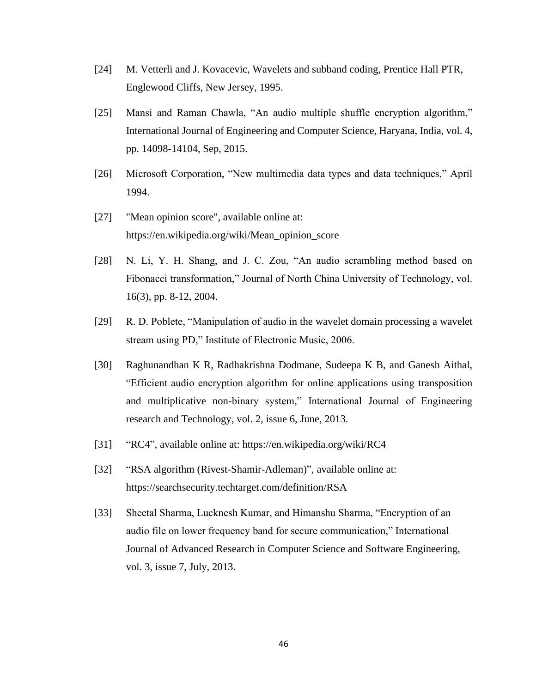- [24] M. Vetterli and J. Kovacevic, Wavelets and subband coding, Prentice Hall PTR, Englewood Cliffs, New Jersey, 1995.
- [25] Mansi and Raman Chawla, "An audio multiple shuffle encryption algorithm," International Journal of Engineering and Computer Science, Haryana, India, vol. 4, pp. 14098-14104, Sep, 2015.
- [26] Microsoft Corporation, "New multimedia data types and data techniques," April 1994.
- [27] "Mean opinion score", available online at: https://en.wikipedia.org/wiki/Mean\_opinion\_score
- [28] N. Li, Y. H. Shang, and J. C. Zou, "An audio scrambling method based on Fibonacci transformation," Journal of North China University of Technology, vol. 16(3), pp. 8-12, 2004.
- [29] R. D. Poblete, "Manipulation of audio in the wavelet domain processing a wavelet stream using PD," Institute of Electronic Music, 2006.
- [30] Raghunandhan K R, Radhakrishna Dodmane, Sudeepa K B, and Ganesh Aithal, "Efficient audio encryption algorithm for online applications using transposition and multiplicative non-binary system," International Journal of Engineering research and Technology, vol. 2, issue 6, June, 2013.
- [31] "RC4", available online at: https://en.wikipedia.org/wiki/RC4
- [32] "RSA algorithm (Rivest-Shamir-Adleman)", available online at: https://searchsecurity.techtarget.com/definition/RSA
- [33] Sheetal Sharma, Lucknesh Kumar, and Himanshu Sharma, "Encryption of an audio file on lower frequency band for secure communication," International Journal of Advanced Research in Computer Science and Software Engineering, vol. 3, issue 7, July, 2013.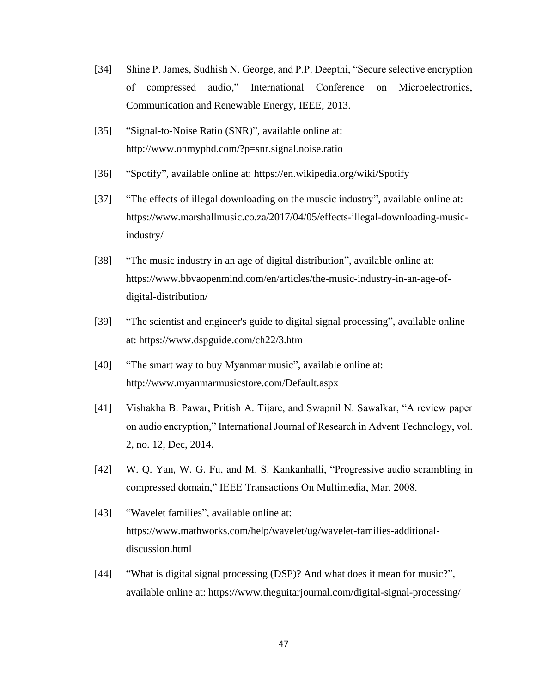- [34] Shine P. James, Sudhish N. George, and P.P. Deepthi, "Secure selective encryption of compressed audio," International Conference on Microelectronics, Communication and Renewable Energy, IEEE, 2013.
- [35] "Signal-to-Noise Ratio (SNR)", available online at: http://www.onmyphd.com/?p=snr.signal.noise.ratio
- [36] "Spotify", available online at: https://en.wikipedia.org/wiki/Spotify
- [37] "The effects of illegal downloading on the muscic industry", available online at: https://www.marshallmusic.co.za/2017/04/05/effects-illegal-downloading-musicindustry/
- [38] "The music industry in an age of digital distribution", available online at: https://www.bbvaopenmind.com/en/articles/the-music-industry-in-an-age-ofdigital-distribution/
- [39] "The scientist and engineer's guide to digital signal processing", available online at: https://www.dspguide.com/ch22/3.htm
- [40] "The smart way to buy Myanmar music", available online at: http://www.myanmarmusicstore.com/Default.aspx
- [41] Vishakha B. Pawar, Pritish A. Tijare, and Swapnil N. Sawalkar, "A review paper on audio encryption," International Journal of Research in Advent Technology, vol. 2, no. 12, Dec, 2014.
- [42] W. Q. Yan, W. G. Fu, and M. S. Kankanhalli, "Progressive audio scrambling in compressed domain," IEEE Transactions On Multimedia, Mar, 2008.
- [43] "Wavelet families", available online at: https://www.mathworks.com/help/wavelet/ug/wavelet-families-additionaldiscussion.html
- [44] "What is digital signal processing (DSP)? And what does it mean for music?", available online at: https://www.theguitarjournal.com/digital-signal-processing/